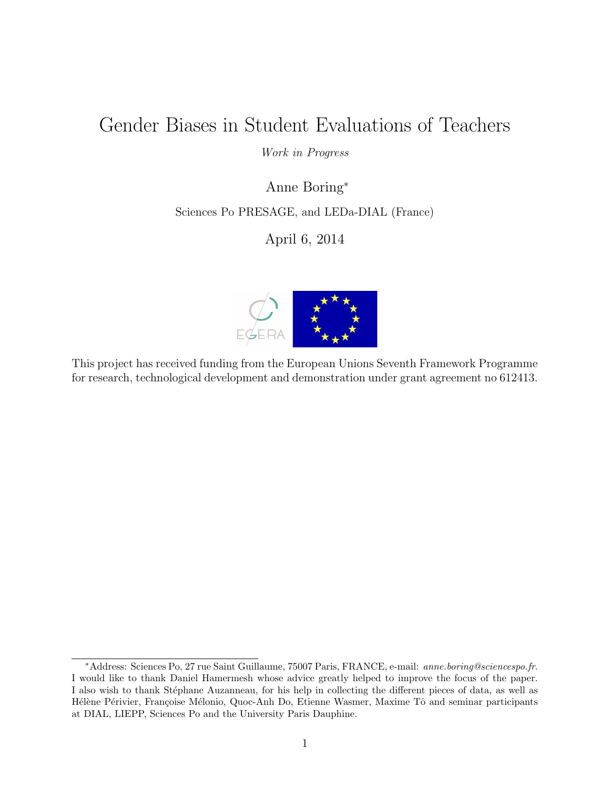## Gender Biases in Student Evaluations of Teachers

#### Work in Progress

Anne Boring<sup>∗</sup>

Sciences Po PRESAGE, and LEDa-DIAL (France)

April 6, 2014



This project has received funding from the European Unions Seventh Framework Programme for research, technological development and demonstration under grant agreement no 612413.

<sup>∗</sup>Address: Sciences Po, 27 rue Saint Guillaume, 75007 Paris, FRANCE, e-mail: anne.boring@sciencespo.fr. I would like to thank Daniel Hamermesh whose advice greatly helped to improve the focus of the paper. I also wish to thank Stéphane Auzanneau, for his help in collecting the different pieces of data, as well as Hélène Périvier, Françoise Mélonio, Quoc-Anh Do, Etienne Wasmer, Maxime Tô and seminar participants at DIAL, LIEPP, Sciences Po and the University Paris Dauphine.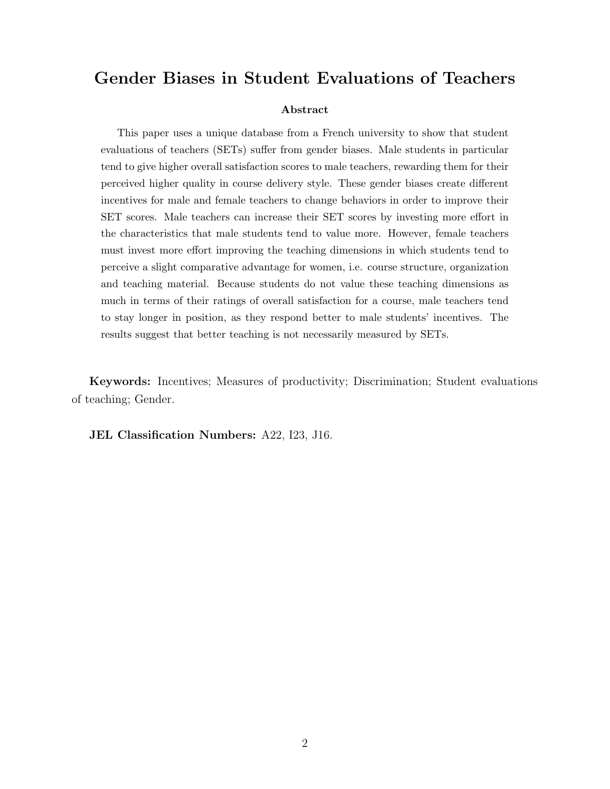## Gender Biases in Student Evaluations of Teachers

#### Abstract

This paper uses a unique database from a French university to show that student evaluations of teachers (SETs) suffer from gender biases. Male students in particular tend to give higher overall satisfaction scores to male teachers, rewarding them for their perceived higher quality in course delivery style. These gender biases create different incentives for male and female teachers to change behaviors in order to improve their SET scores. Male teachers can increase their SET scores by investing more effort in the characteristics that male students tend to value more. However, female teachers must invest more effort improving the teaching dimensions in which students tend to perceive a slight comparative advantage for women, i.e. course structure, organization and teaching material. Because students do not value these teaching dimensions as much in terms of their ratings of overall satisfaction for a course, male teachers tend to stay longer in position, as they respond better to male students' incentives. The results suggest that better teaching is not necessarily measured by SETs.

Keywords: Incentives; Measures of productivity; Discrimination; Student evaluations of teaching; Gender.

JEL Classification Numbers: A22, I23, J16.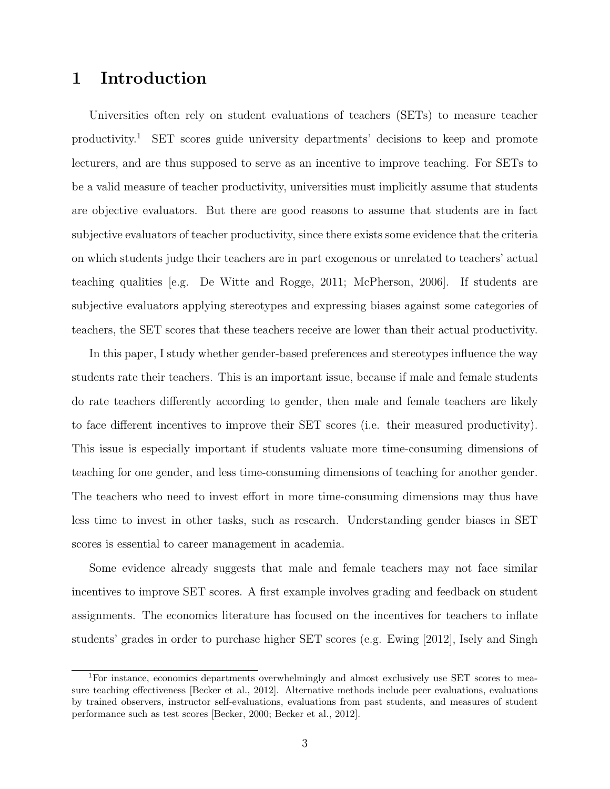## 1 Introduction

Universities often rely on student evaluations of teachers (SETs) to measure teacher productivity.<sup>1</sup> SET scores guide university departments' decisions to keep and promote lecturers, and are thus supposed to serve as an incentive to improve teaching. For SETs to be a valid measure of teacher productivity, universities must implicitly assume that students are objective evaluators. But there are good reasons to assume that students are in fact subjective evaluators of teacher productivity, since there exists some evidence that the criteria on which students judge their teachers are in part exogenous or unrelated to teachers' actual teaching qualities [e.g. De Witte and Rogge, 2011; McPherson, 2006]. If students are subjective evaluators applying stereotypes and expressing biases against some categories of teachers, the SET scores that these teachers receive are lower than their actual productivity.

In this paper, I study whether gender-based preferences and stereotypes influence the way students rate their teachers. This is an important issue, because if male and female students do rate teachers differently according to gender, then male and female teachers are likely to face different incentives to improve their SET scores (i.e. their measured productivity). This issue is especially important if students valuate more time-consuming dimensions of teaching for one gender, and less time-consuming dimensions of teaching for another gender. The teachers who need to invest effort in more time-consuming dimensions may thus have less time to invest in other tasks, such as research. Understanding gender biases in SET scores is essential to career management in academia.

Some evidence already suggests that male and female teachers may not face similar incentives to improve SET scores. A first example involves grading and feedback on student assignments. The economics literature has focused on the incentives for teachers to inflate students' grades in order to purchase higher SET scores (e.g. Ewing [2012], Isely and Singh

<sup>&</sup>lt;sup>1</sup>For instance, economics departments overwhelmingly and almost exclusively use SET scores to measure teaching effectiveness [Becker et al., 2012]. Alternative methods include peer evaluations, evaluations by trained observers, instructor self-evaluations, evaluations from past students, and measures of student performance such as test scores [Becker, 2000; Becker et al., 2012].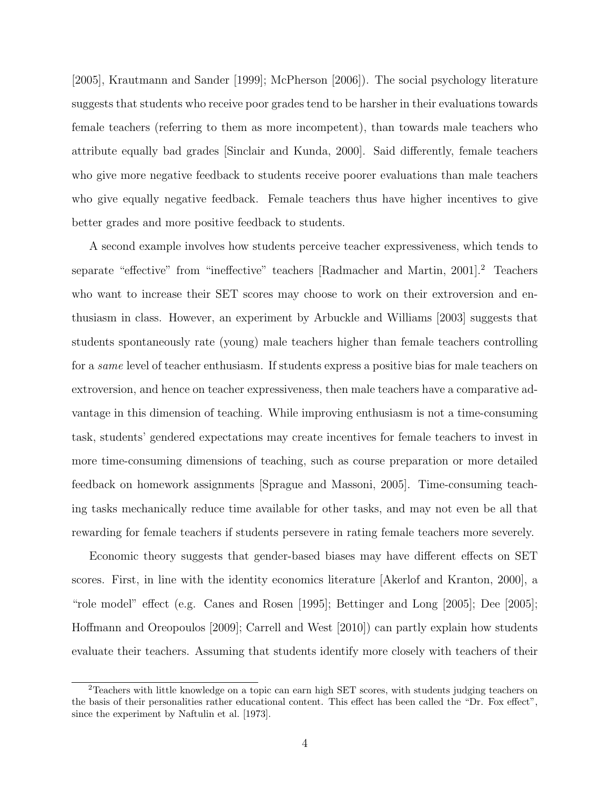[2005], Krautmann and Sander [1999]; McPherson [2006]). The social psychology literature suggests that students who receive poor grades tend to be harsher in their evaluations towards female teachers (referring to them as more incompetent), than towards male teachers who attribute equally bad grades [Sinclair and Kunda, 2000]. Said differently, female teachers who give more negative feedback to students receive poorer evaluations than male teachers who give equally negative feedback. Female teachers thus have higher incentives to give better grades and more positive feedback to students.

A second example involves how students perceive teacher expressiveness, which tends to separate "effective" from "ineffective" teachers [Radmacher and Martin, 2001].<sup>2</sup> Teachers who want to increase their SET scores may choose to work on their extroversion and enthusiasm in class. However, an experiment by Arbuckle and Williams [2003] suggests that students spontaneously rate (young) male teachers higher than female teachers controlling for a same level of teacher enthusiasm. If students express a positive bias for male teachers on extroversion, and hence on teacher expressiveness, then male teachers have a comparative advantage in this dimension of teaching. While improving enthusiasm is not a time-consuming task, students' gendered expectations may create incentives for female teachers to invest in more time-consuming dimensions of teaching, such as course preparation or more detailed feedback on homework assignments [Sprague and Massoni, 2005]. Time-consuming teaching tasks mechanically reduce time available for other tasks, and may not even be all that rewarding for female teachers if students persevere in rating female teachers more severely.

Economic theory suggests that gender-based biases may have different effects on SET scores. First, in line with the identity economics literature [Akerlof and Kranton, 2000], a "role model" effect (e.g. Canes and Rosen [1995]; Bettinger and Long [2005]; Dee [2005]; Hoffmann and Oreopoulos [2009]; Carrell and West [2010]) can partly explain how students evaluate their teachers. Assuming that students identify more closely with teachers of their

<sup>2</sup>Teachers with little knowledge on a topic can earn high SET scores, with students judging teachers on the basis of their personalities rather educational content. This effect has been called the "Dr. Fox effect", since the experiment by Naftulin et al. [1973].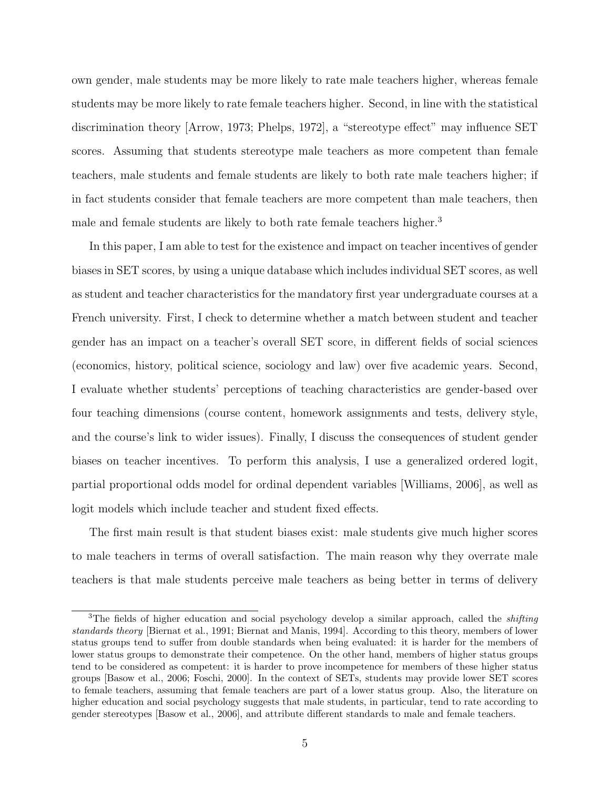own gender, male students may be more likely to rate male teachers higher, whereas female students may be more likely to rate female teachers higher. Second, in line with the statistical discrimination theory [Arrow, 1973; Phelps, 1972], a "stereotype effect" may influence SET scores. Assuming that students stereotype male teachers as more competent than female teachers, male students and female students are likely to both rate male teachers higher; if in fact students consider that female teachers are more competent than male teachers, then male and female students are likely to both rate female teachers higher.<sup>3</sup>

In this paper, I am able to test for the existence and impact on teacher incentives of gender biases in SET scores, by using a unique database which includes individual SET scores, as well as student and teacher characteristics for the mandatory first year undergraduate courses at a French university. First, I check to determine whether a match between student and teacher gender has an impact on a teacher's overall SET score, in different fields of social sciences (economics, history, political science, sociology and law) over five academic years. Second, I evaluate whether students' perceptions of teaching characteristics are gender-based over four teaching dimensions (course content, homework assignments and tests, delivery style, and the course's link to wider issues). Finally, I discuss the consequences of student gender biases on teacher incentives. To perform this analysis, I use a generalized ordered logit, partial proportional odds model for ordinal dependent variables [Williams, 2006], as well as logit models which include teacher and student fixed effects.

The first main result is that student biases exist: male students give much higher scores to male teachers in terms of overall satisfaction. The main reason why they overrate male teachers is that male students perceive male teachers as being better in terms of delivery

<sup>&</sup>lt;sup>3</sup>The fields of higher education and social psychology develop a similar approach, called the *shifting* standards theory [Biernat et al., 1991; Biernat and Manis, 1994]. According to this theory, members of lower status groups tend to suffer from double standards when being evaluated: it is harder for the members of lower status groups to demonstrate their competence. On the other hand, members of higher status groups tend to be considered as competent: it is harder to prove incompetence for members of these higher status groups [Basow et al., 2006; Foschi, 2000]. In the context of SETs, students may provide lower SET scores to female teachers, assuming that female teachers are part of a lower status group. Also, the literature on higher education and social psychology suggests that male students, in particular, tend to rate according to gender stereotypes [Basow et al., 2006], and attribute different standards to male and female teachers.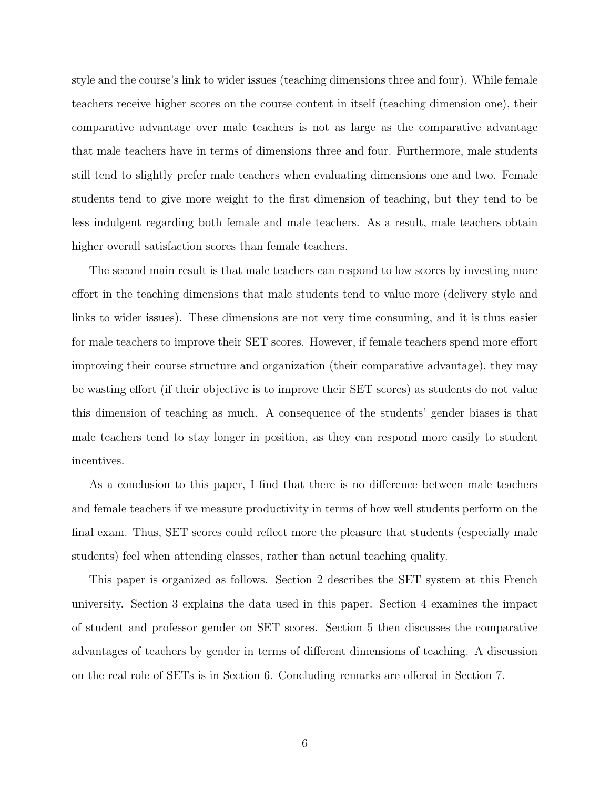style and the course's link to wider issues (teaching dimensions three and four). While female teachers receive higher scores on the course content in itself (teaching dimension one), their comparative advantage over male teachers is not as large as the comparative advantage that male teachers have in terms of dimensions three and four. Furthermore, male students still tend to slightly prefer male teachers when evaluating dimensions one and two. Female students tend to give more weight to the first dimension of teaching, but they tend to be less indulgent regarding both female and male teachers. As a result, male teachers obtain higher overall satisfaction scores than female teachers.

The second main result is that male teachers can respond to low scores by investing more effort in the teaching dimensions that male students tend to value more (delivery style and links to wider issues). These dimensions are not very time consuming, and it is thus easier for male teachers to improve their SET scores. However, if female teachers spend more effort improving their course structure and organization (their comparative advantage), they may be wasting effort (if their objective is to improve their SET scores) as students do not value this dimension of teaching as much. A consequence of the students' gender biases is that male teachers tend to stay longer in position, as they can respond more easily to student incentives.

As a conclusion to this paper, I find that there is no difference between male teachers and female teachers if we measure productivity in terms of how well students perform on the final exam. Thus, SET scores could reflect more the pleasure that students (especially male students) feel when attending classes, rather than actual teaching quality.

This paper is organized as follows. Section 2 describes the SET system at this French university. Section 3 explains the data used in this paper. Section 4 examines the impact of student and professor gender on SET scores. Section 5 then discusses the comparative advantages of teachers by gender in terms of different dimensions of teaching. A discussion on the real role of SETs is in Section 6. Concluding remarks are offered in Section 7.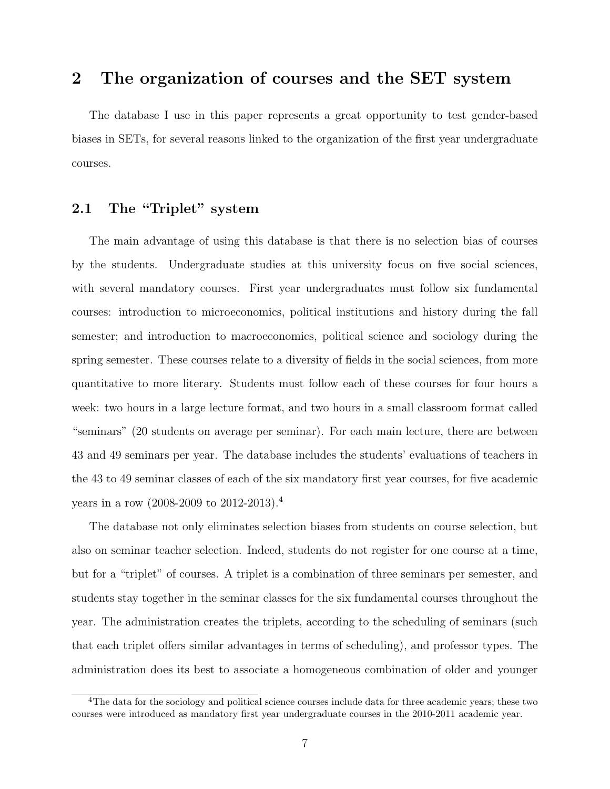## 2 The organization of courses and the SET system

The database I use in this paper represents a great opportunity to test gender-based biases in SETs, for several reasons linked to the organization of the first year undergraduate courses.

#### 2.1 The "Triplet" system

The main advantage of using this database is that there is no selection bias of courses by the students. Undergraduate studies at this university focus on five social sciences, with several mandatory courses. First year undergraduates must follow six fundamental courses: introduction to microeconomics, political institutions and history during the fall semester; and introduction to macroeconomics, political science and sociology during the spring semester. These courses relate to a diversity of fields in the social sciences, from more quantitative to more literary. Students must follow each of these courses for four hours a week: two hours in a large lecture format, and two hours in a small classroom format called "seminars" (20 students on average per seminar). For each main lecture, there are between 43 and 49 seminars per year. The database includes the students' evaluations of teachers in the 43 to 49 seminar classes of each of the six mandatory first year courses, for five academic years in a row (2008-2009 to 2012-2013).<sup>4</sup>

The database not only eliminates selection biases from students on course selection, but also on seminar teacher selection. Indeed, students do not register for one course at a time, but for a "triplet" of courses. A triplet is a combination of three seminars per semester, and students stay together in the seminar classes for the six fundamental courses throughout the year. The administration creates the triplets, according to the scheduling of seminars (such that each triplet offers similar advantages in terms of scheduling), and professor types. The administration does its best to associate a homogeneous combination of older and younger

<sup>&</sup>lt;sup>4</sup>The data for the sociology and political science courses include data for three academic years; these two courses were introduced as mandatory first year undergraduate courses in the 2010-2011 academic year.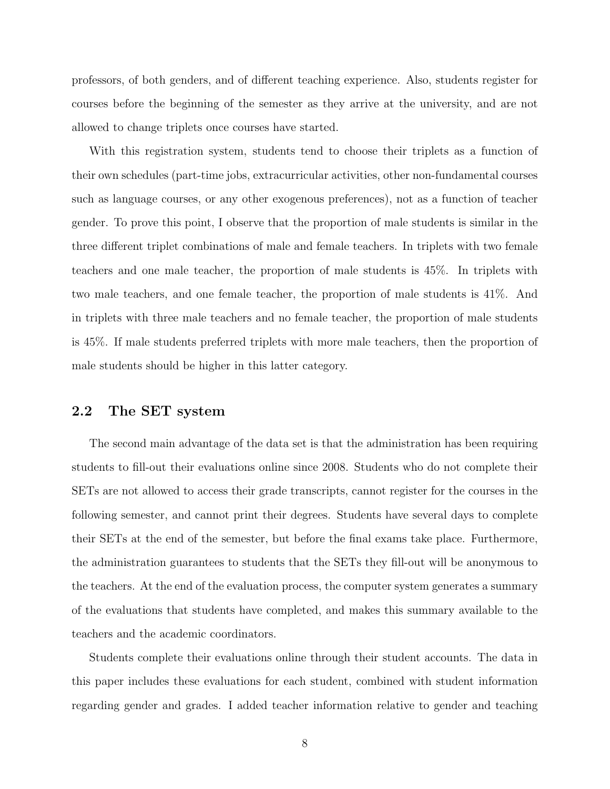professors, of both genders, and of different teaching experience. Also, students register for courses before the beginning of the semester as they arrive at the university, and are not allowed to change triplets once courses have started.

With this registration system, students tend to choose their triplets as a function of their own schedules (part-time jobs, extracurricular activities, other non-fundamental courses such as language courses, or any other exogenous preferences), not as a function of teacher gender. To prove this point, I observe that the proportion of male students is similar in the three different triplet combinations of male and female teachers. In triplets with two female teachers and one male teacher, the proportion of male students is 45%. In triplets with two male teachers, and one female teacher, the proportion of male students is 41%. And in triplets with three male teachers and no female teacher, the proportion of male students is 45%. If male students preferred triplets with more male teachers, then the proportion of male students should be higher in this latter category.

#### 2.2 The SET system

The second main advantage of the data set is that the administration has been requiring students to fill-out their evaluations online since 2008. Students who do not complete their SETs are not allowed to access their grade transcripts, cannot register for the courses in the following semester, and cannot print their degrees. Students have several days to complete their SETs at the end of the semester, but before the final exams take place. Furthermore, the administration guarantees to students that the SETs they fill-out will be anonymous to the teachers. At the end of the evaluation process, the computer system generates a summary of the evaluations that students have completed, and makes this summary available to the teachers and the academic coordinators.

Students complete their evaluations online through their student accounts. The data in this paper includes these evaluations for each student, combined with student information regarding gender and grades. I added teacher information relative to gender and teaching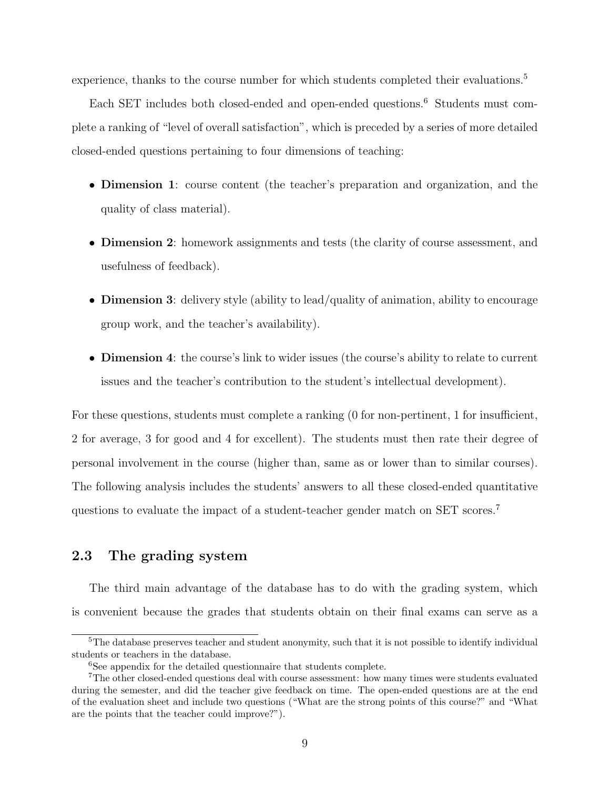experience, thanks to the course number for which students completed their evaluations.<sup>5</sup>

Each SET includes both closed-ended and open-ended questions.<sup>6</sup> Students must complete a ranking of "level of overall satisfaction", which is preceded by a series of more detailed closed-ended questions pertaining to four dimensions of teaching:

- Dimension 1: course content (the teacher's preparation and organization, and the quality of class material).
- Dimension 2: homework assignments and tests (the clarity of course assessment, and usefulness of feedback).
- Dimension 3: delivery style (ability to lead/quality of animation, ability to encourage group work, and the teacher's availability).
- Dimension 4: the course's link to wider issues (the course's ability to relate to current issues and the teacher's contribution to the student's intellectual development).

For these questions, students must complete a ranking  $(0 \text{ for non-pertinent}, 1 \text{ for insufficient},$ 2 for average, 3 for good and 4 for excellent). The students must then rate their degree of personal involvement in the course (higher than, same as or lower than to similar courses). The following analysis includes the students' answers to all these closed-ended quantitative questions to evaluate the impact of a student-teacher gender match on SET scores.<sup>7</sup>

#### 2.3 The grading system

The third main advantage of the database has to do with the grading system, which is convenient because the grades that students obtain on their final exams can serve as a

<sup>&</sup>lt;sup>5</sup>The database preserves teacher and student anonymity, such that it is not possible to identify individual students or teachers in the database.

<sup>6</sup>See appendix for the detailed questionnaire that students complete.

<sup>7</sup>The other closed-ended questions deal with course assessment: how many times were students evaluated during the semester, and did the teacher give feedback on time. The open-ended questions are at the end of the evaluation sheet and include two questions ("What are the strong points of this course?" and "What are the points that the teacher could improve?").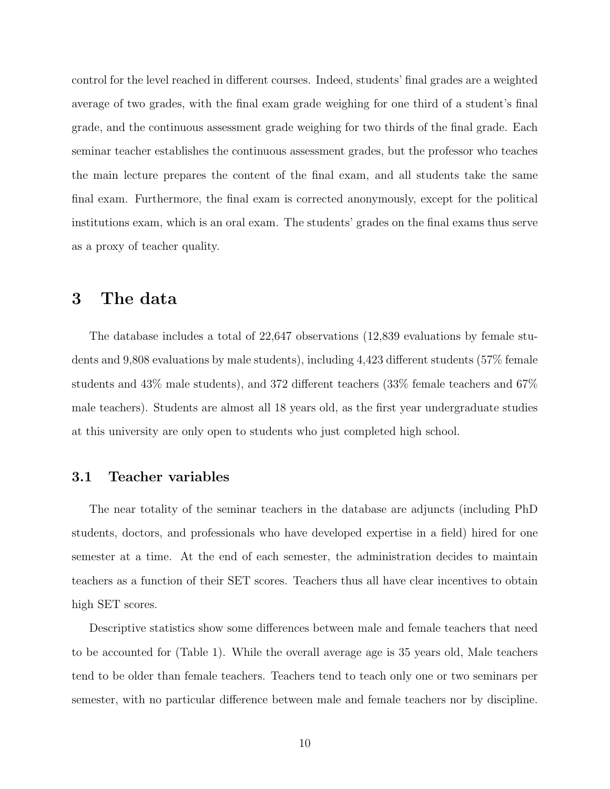control for the level reached in different courses. Indeed, students' final grades are a weighted average of two grades, with the final exam grade weighing for one third of a student's final grade, and the continuous assessment grade weighing for two thirds of the final grade. Each seminar teacher establishes the continuous assessment grades, but the professor who teaches the main lecture prepares the content of the final exam, and all students take the same final exam. Furthermore, the final exam is corrected anonymously, except for the political institutions exam, which is an oral exam. The students' grades on the final exams thus serve as a proxy of teacher quality.

## 3 The data

The database includes a total of 22,647 observations (12,839 evaluations by female students and 9,808 evaluations by male students), including 4,423 different students (57% female students and 43% male students), and 372 different teachers (33% female teachers and 67% male teachers). Students are almost all 18 years old, as the first year undergraduate studies at this university are only open to students who just completed high school.

#### 3.1 Teacher variables

The near totality of the seminar teachers in the database are adjuncts (including PhD students, doctors, and professionals who have developed expertise in a field) hired for one semester at a time. At the end of each semester, the administration decides to maintain teachers as a function of their SET scores. Teachers thus all have clear incentives to obtain high SET scores.

Descriptive statistics show some differences between male and female teachers that need to be accounted for (Table 1). While the overall average age is 35 years old, Male teachers tend to be older than female teachers. Teachers tend to teach only one or two seminars per semester, with no particular difference between male and female teachers nor by discipline.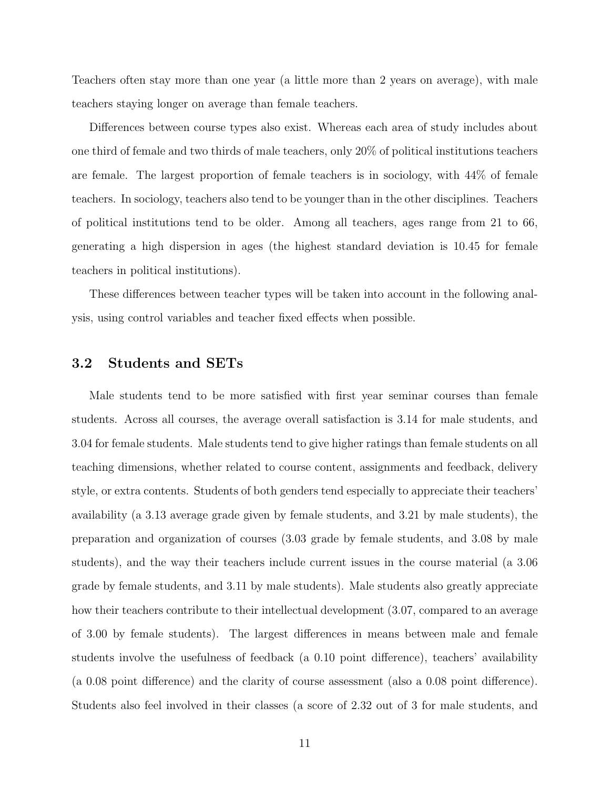Teachers often stay more than one year (a little more than 2 years on average), with male teachers staying longer on average than female teachers.

Differences between course types also exist. Whereas each area of study includes about one third of female and two thirds of male teachers, only 20% of political institutions teachers are female. The largest proportion of female teachers is in sociology, with 44% of female teachers. In sociology, teachers also tend to be younger than in the other disciplines. Teachers of political institutions tend to be older. Among all teachers, ages range from 21 to 66, generating a high dispersion in ages (the highest standard deviation is 10.45 for female teachers in political institutions).

These differences between teacher types will be taken into account in the following analysis, using control variables and teacher fixed effects when possible.

#### 3.2 Students and SETs

Male students tend to be more satisfied with first year seminar courses than female students. Across all courses, the average overall satisfaction is 3.14 for male students, and 3.04 for female students. Male students tend to give higher ratings than female students on all teaching dimensions, whether related to course content, assignments and feedback, delivery style, or extra contents. Students of both genders tend especially to appreciate their teachers' availability (a 3.13 average grade given by female students, and 3.21 by male students), the preparation and organization of courses (3.03 grade by female students, and 3.08 by male students), and the way their teachers include current issues in the course material (a 3.06 grade by female students, and 3.11 by male students). Male students also greatly appreciate how their teachers contribute to their intellectual development (3.07, compared to an average of 3.00 by female students). The largest differences in means between male and female students involve the usefulness of feedback (a 0.10 point difference), teachers' availability (a 0.08 point difference) and the clarity of course assessment (also a 0.08 point difference). Students also feel involved in their classes (a score of 2.32 out of 3 for male students, and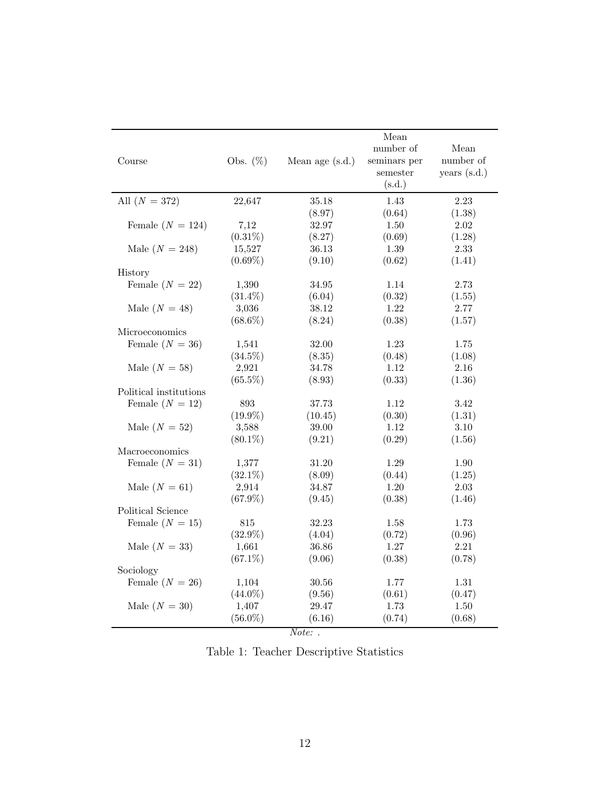| Course                 | Obs. $(\%)$ | Mean age (s.d.) | Mean<br>number of<br>seminars per<br>semester<br>(s.d.) | Mean<br>number of<br>years $(s.d.)$ |
|------------------------|-------------|-----------------|---------------------------------------------------------|-------------------------------------|
| All $(N = 372)$        | 22,647      | 35.18           | 1.43                                                    | 2.23                                |
|                        |             | (8.97)          | (0.64)                                                  | (1.38)                              |
| Female $(N = 124)$     | 7,12        | 32.97           | 1.50                                                    | 2.02                                |
|                        | $(0.31\%)$  | (8.27)          | (0.69)                                                  | (1.28)                              |
| Male $(N = 248)$       | 15,527      | 36.13           | 1.39                                                    | 2.33                                |
|                        | $(0.69\%)$  | (9.10)          | (0.62)                                                  | (1.41)                              |
| History                |             |                 |                                                         |                                     |
| Female $(N = 22)$      | 1,390       | 34.95           | 1.14                                                    | 2.73                                |
|                        | $(31.4\%)$  | (6.04)          | (0.32)                                                  | (1.55)                              |
| Male $(N = 48)$        | 3,036       | 38.12           | 1.22                                                    | 2.77                                |
|                        | $(68.6\%)$  | (8.24)          | (0.38)                                                  | (1.57)                              |
| Microeconomics         |             |                 |                                                         |                                     |
| Female $(N = 36)$      | 1,541       | 32.00           | 1.23                                                    | 1.75                                |
|                        | $(34.5\%)$  | (8.35)          | (0.48)                                                  | (1.08)                              |
| Male $(N = 58)$        | 2,921       | 34.78           | 1.12                                                    | 2.16                                |
|                        | $(65.5\%)$  | (8.93)          | (0.33)                                                  | (1.36)                              |
| Political institutions |             |                 |                                                         |                                     |
| Female $(N = 12)$      | 893         | 37.73           | 1.12                                                    | 3.42                                |
|                        | $(19.9\%)$  | (10.45)         | (0.30)                                                  | (1.31)                              |
| Male $(N = 52)$        | 3,588       | 39.00           | 1.12                                                    | 3.10                                |
|                        | $(80.1\%)$  | (9.21)          | (0.29)                                                  | (1.56)                              |
| Macroeconomics         |             |                 |                                                         |                                     |
| Female $(N = 31)$      | 1,377       | 31.20           | 1.29                                                    | $1.90\,$                            |
|                        | $(32.1\%)$  | (8.09)          | (0.44)                                                  | (1.25)                              |
| Male $(N = 61)$        | 2,914       | 34.87           | 1.20                                                    | 2.03                                |
|                        | $(67.9\%)$  | (9.45)          | (0.38)                                                  | (1.46)                              |
| Political Science      |             |                 |                                                         |                                     |
| Female $(N = 15)$      | 815         | 32.23           | 1.58                                                    | 1.73                                |
|                        | $(32.9\%)$  | (4.04)          | (0.72)                                                  | (0.96)                              |
| Male $(N = 33)$        | 1,661       | 36.86           | 1.27                                                    | 2.21                                |
|                        | $(67.1\%)$  | (9.06)          | (0.38)                                                  | (0.78)                              |
| Sociology              |             |                 |                                                         |                                     |
| Female $(N = 26)$      | 1,104       | 30.56           | 1.77                                                    | 1.31                                |
|                        | $(44.0\%)$  | (9.56)          | (0.61)                                                  | (0.47)                              |
| Male $(N = 30)$        | 1,407       | 29.47           | 1.73                                                    | 1.50                                |
|                        | $(56.0\%)$  | (6.16)          | (0.74)                                                  | (0.68)                              |
|                        |             |                 |                                                         |                                     |

Note: .

Table 1: Teacher Descriptive Statistics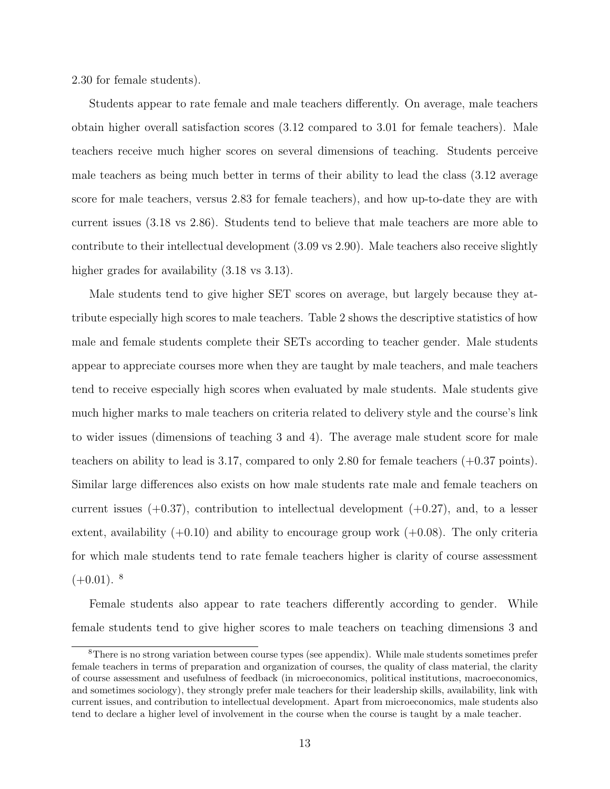2.30 for female students).

Students appear to rate female and male teachers differently. On average, male teachers obtain higher overall satisfaction scores (3.12 compared to 3.01 for female teachers). Male teachers receive much higher scores on several dimensions of teaching. Students perceive male teachers as being much better in terms of their ability to lead the class (3.12 average score for male teachers, versus 2.83 for female teachers), and how up-to-date they are with current issues (3.18 vs 2.86). Students tend to believe that male teachers are more able to contribute to their intellectual development (3.09 vs 2.90). Male teachers also receive slightly higher grades for availability  $(3.18 \text{ vs } 3.13)$ .

Male students tend to give higher SET scores on average, but largely because they attribute especially high scores to male teachers. Table 2 shows the descriptive statistics of how male and female students complete their SETs according to teacher gender. Male students appear to appreciate courses more when they are taught by male teachers, and male teachers tend to receive especially high scores when evaluated by male students. Male students give much higher marks to male teachers on criteria related to delivery style and the course's link to wider issues (dimensions of teaching 3 and 4). The average male student score for male teachers on ability to lead is 3.17, compared to only 2.80 for female teachers (+0.37 points). Similar large differences also exists on how male students rate male and female teachers on current issues  $(+0.37)$ , contribution to intellectual development  $(+0.27)$ , and, to a lesser extent, availability  $(+0.10)$  and ability to encourage group work  $(+0.08)$ . The only criteria for which male students tend to rate female teachers higher is clarity of course assessment  $(+0.01)$ . <sup>8</sup>

Female students also appear to rate teachers differently according to gender. While female students tend to give higher scores to male teachers on teaching dimensions 3 and

<sup>8</sup>There is no strong variation between course types (see appendix). While male students sometimes prefer female teachers in terms of preparation and organization of courses, the quality of class material, the clarity of course assessment and usefulness of feedback (in microeconomics, political institutions, macroeconomics, and sometimes sociology), they strongly prefer male teachers for their leadership skills, availability, link with current issues, and contribution to intellectual development. Apart from microeconomics, male students also tend to declare a higher level of involvement in the course when the course is taught by a male teacher.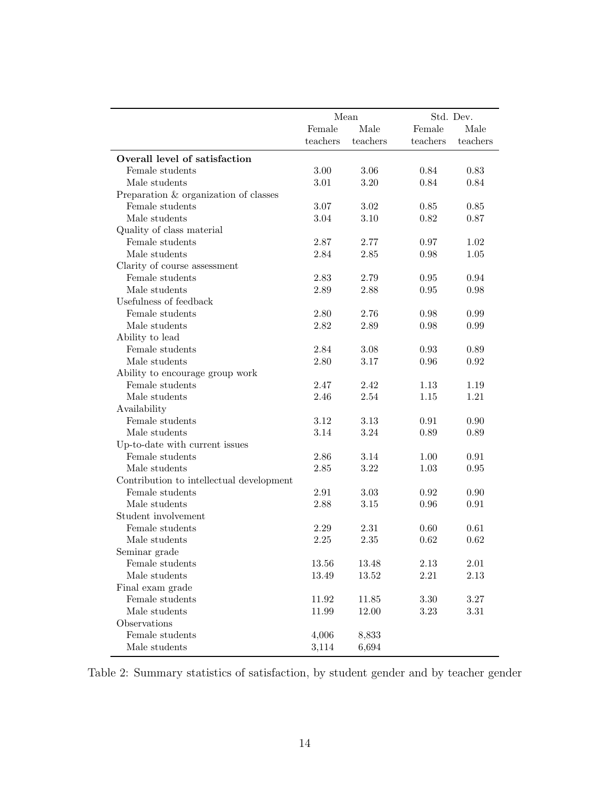|                                              |              | Mean         | Std. Dev.       |          |
|----------------------------------------------|--------------|--------------|-----------------|----------|
|                                              | Female       | Male         | $\mbox{Female}$ | Male     |
|                                              | teachers     | teachers     | teachers        | teachers |
| Overall level of satisfaction                |              |              |                 |          |
| Female students                              | 3.00         | 3.06         | 0.84            | 0.83     |
| Male students                                | 3.01         | 3.20         | 0.84            | 0.84     |
| Preparation & organization of classes        |              |              |                 |          |
| Female students                              |              |              | 0.85            | 0.85     |
| Male students                                | 3.07<br>3.04 | 3.02<br>3.10 | 0.82            | 0.87     |
|                                              |              |              |                 |          |
| Quality of class material<br>Female students | 2.87         |              |                 |          |
|                                              |              | 2.77         | 0.97            | 1.02     |
| Male students                                | 2.84         | 2.85         | 0.98            | 1.05     |
| Clarity of course assessment                 |              |              |                 |          |
| Female students<br>Male students             | 2.83         | 2.79         | 0.95            | 0.94     |
|                                              | 2.89         | 2.88         | $0.95\,$        | 0.98     |
| Usefulness of feedback                       |              |              |                 |          |
| Female students                              | 2.80         | 2.76         | 0.98            | 0.99     |
| Male students                                | 2.82         | 2.89         | 0.98            | 0.99     |
| Ability to lead                              |              |              |                 |          |
| Female students                              | 2.84         | 3.08         | 0.93            | 0.89     |
| Male students                                | 2.80         | 3.17         | 0.96            | 0.92     |
| Ability to encourage group work              |              |              |                 |          |
| Female students                              | 2.47         | 2.42         | 1.13            | 1.19     |
| Male students                                | 2.46         | 2.54         | 1.15            | 1.21     |
| Availability                                 |              |              |                 |          |
| Female students                              | 3.12         | 3.13         | 0.91            | 0.90     |
| Male students                                | 3.14         | 3.24         | 0.89            | 0.89     |
| Up-to-date with current issues               |              |              |                 |          |
| Female students                              | 2.86         | 3.14         | 1.00            | 0.91     |
| Male students                                | 2.85         | 3.22         | 1.03            | 0.95     |
| Contribution to intellectual development     |              |              |                 |          |
| Female students                              | 2.91         | 3.03         | 0.92            | 0.90     |
| Male students                                | 2.88         | $3.15\,$     | 0.96            | 0.91     |
| Student involvement                          |              |              |                 |          |
| Female students                              | 2.29         | 2.31         | 0.60            | 0.61     |
| Male students                                | 2.25         | 2.35         | 0.62            | 0.62     |
| Seminar grade                                |              |              |                 |          |
| Female students                              | 13.56        | 13.48        | 2.13            | $2.01\,$ |
| Male students                                | 13.49        | 13.52        | 2.21            | $2.13\,$ |
| Final exam grade                             |              |              |                 |          |
| Female students                              | 11.92        | 11.85        | $3.30\,$        | $3.27\,$ |
| Male students                                | 11.99        | 12.00        | 3.23            | $3.31\,$ |
| Observations                                 |              |              |                 |          |
| Female students                              | 4,006        | 8,833        |                 |          |
| Male students                                | 3,114        | 6,694        |                 |          |

Table 2: Summary statistics of satisfaction, by student gender and by teacher gender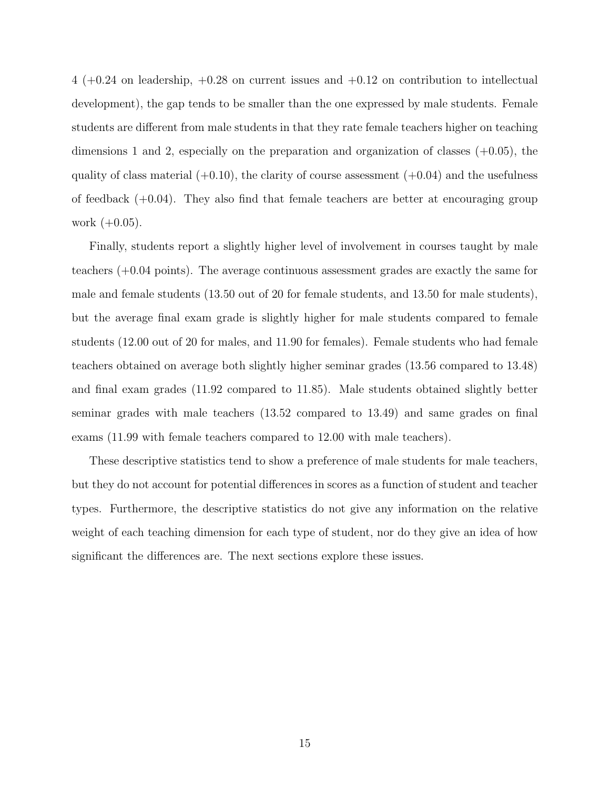$4 (+0.24)$  on leadership,  $+0.28$  on current issues and  $+0.12$  on contribution to intellectual development), the gap tends to be smaller than the one expressed by male students. Female students are different from male students in that they rate female teachers higher on teaching dimensions 1 and 2, especially on the preparation and organization of classes  $(+0.05)$ , the quality of class material  $(+0.10)$ , the clarity of course assessment  $(+0.04)$  and the usefulness of feedback  $(+0.04)$ . They also find that female teachers are better at encouraging group work  $(+0.05)$ .

Finally, students report a slightly higher level of involvement in courses taught by male teachers (+0.04 points). The average continuous assessment grades are exactly the same for male and female students (13.50 out of 20 for female students, and 13.50 for male students), but the average final exam grade is slightly higher for male students compared to female students (12.00 out of 20 for males, and 11.90 for females). Female students who had female teachers obtained on average both slightly higher seminar grades (13.56 compared to 13.48) and final exam grades (11.92 compared to 11.85). Male students obtained slightly better seminar grades with male teachers (13.52 compared to 13.49) and same grades on final exams (11.99 with female teachers compared to 12.00 with male teachers).

These descriptive statistics tend to show a preference of male students for male teachers, but they do not account for potential differences in scores as a function of student and teacher types. Furthermore, the descriptive statistics do not give any information on the relative weight of each teaching dimension for each type of student, nor do they give an idea of how significant the differences are. The next sections explore these issues.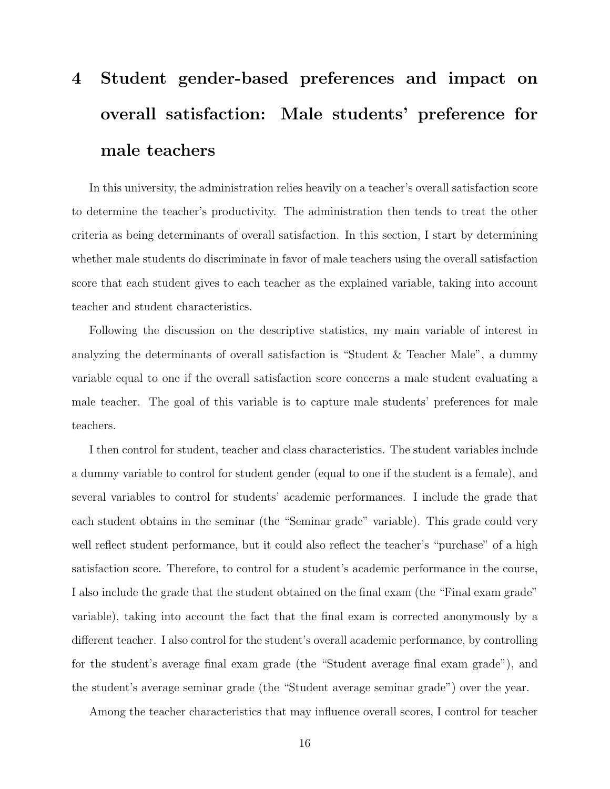# 4 Student gender-based preferences and impact on overall satisfaction: Male students' preference for male teachers

In this university, the administration relies heavily on a teacher's overall satisfaction score to determine the teacher's productivity. The administration then tends to treat the other criteria as being determinants of overall satisfaction. In this section, I start by determining whether male students do discriminate in favor of male teachers using the overall satisfaction score that each student gives to each teacher as the explained variable, taking into account teacher and student characteristics.

Following the discussion on the descriptive statistics, my main variable of interest in analyzing the determinants of overall satisfaction is "Student & Teacher Male", a dummy variable equal to one if the overall satisfaction score concerns a male student evaluating a male teacher. The goal of this variable is to capture male students' preferences for male teachers.

I then control for student, teacher and class characteristics. The student variables include a dummy variable to control for student gender (equal to one if the student is a female), and several variables to control for students' academic performances. I include the grade that each student obtains in the seminar (the "Seminar grade" variable). This grade could very well reflect student performance, but it could also reflect the teacher's "purchase" of a high satisfaction score. Therefore, to control for a student's academic performance in the course, I also include the grade that the student obtained on the final exam (the "Final exam grade" variable), taking into account the fact that the final exam is corrected anonymously by a different teacher. I also control for the student's overall academic performance, by controlling for the student's average final exam grade (the "Student average final exam grade"), and the student's average seminar grade (the "Student average seminar grade") over the year.

Among the teacher characteristics that may influence overall scores, I control for teacher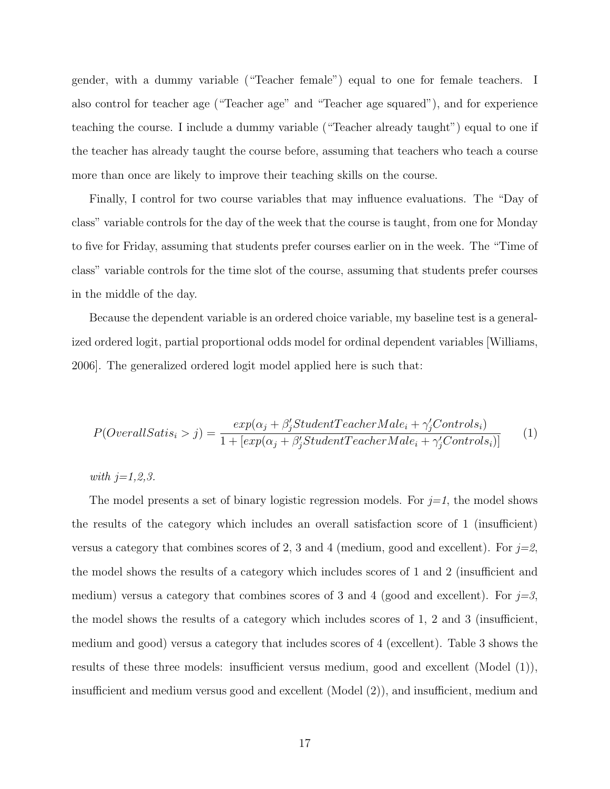gender, with a dummy variable ("Teacher female") equal to one for female teachers. I also control for teacher age ("Teacher age" and "Teacher age squared"), and for experience teaching the course. I include a dummy variable ("Teacher already taught") equal to one if the teacher has already taught the course before, assuming that teachers who teach a course more than once are likely to improve their teaching skills on the course.

Finally, I control for two course variables that may influence evaluations. The "Day of class" variable controls for the day of the week that the course is taught, from one for Monday to five for Friday, assuming that students prefer courses earlier on in the week. The "Time of class" variable controls for the time slot of the course, assuming that students prefer courses in the middle of the day.

Because the dependent variable is an ordered choice variable, my baseline test is a generalized ordered logit, partial proportional odds model for ordinal dependent variables [Williams, 2006]. The generalized ordered logit model applied here is such that:

$$
P(OverallSatis_i > j) = \frac{exp(\alpha_j + \beta'_j StudentTeacherMale_i + \gamma'_jContents_i)}{1 + [exp(\alpha_j + \beta'_jStudentTeacherMale_i + \gamma'_jContents_i)]}
$$
(1)

with  $j=1,2,3$ .

The model presents a set of binary logistic regression models. For  $j=1$ , the model shows the results of the category which includes an overall satisfaction score of 1 (insufficient) versus a category that combines scores of 2, 3 and 4 (medium, good and excellent). For  $j=2$ , the model shows the results of a category which includes scores of 1 and 2 (insufficient and medium) versus a category that combines scores of 3 and 4 (good and excellent). For  $j=3$ , the model shows the results of a category which includes scores of 1, 2 and 3 (insufficient, medium and good) versus a category that includes scores of 4 (excellent). Table 3 shows the results of these three models: insufficient versus medium, good and excellent (Model (1)), insufficient and medium versus good and excellent (Model (2)), and insufficient, medium and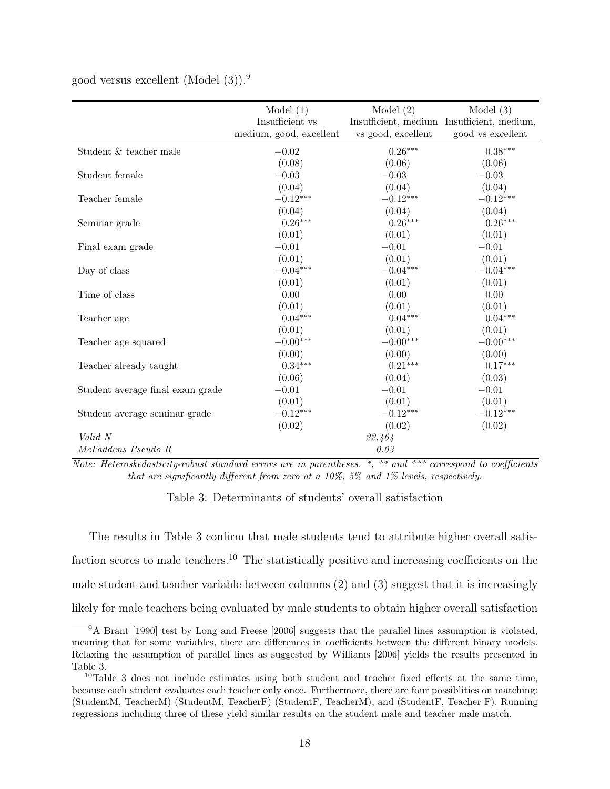|                                  | Model $(1)$             | Model $(2)$        | Model $(3)$                                |
|----------------------------------|-------------------------|--------------------|--------------------------------------------|
|                                  | Insufficient vs         |                    | Insufficient, medium Insufficient, medium, |
|                                  | medium, good, excellent | vs good, excellent | good vs excellent                          |
| Student & teacher male           | $-0.02$                 | $0.26***$          | $0.38***$                                  |
|                                  | (0.08)                  | (0.06)             | (0.06)                                     |
| Student female                   | $-0.03$                 | $-0.03$            | $-0.03$                                    |
|                                  | (0.04)                  | (0.04)             | (0.04)                                     |
| Teacher female                   | $-0.12***$              | $-0.12***$         | $-0.12***$                                 |
|                                  | (0.04)                  | (0.04)             | (0.04)                                     |
| Seminar grade                    | $0.26***$               | $0.26***$          | $0.26***$                                  |
|                                  | (0.01)                  | (0.01)             | (0.01)                                     |
| Final exam grade                 | $-0.01$                 | $-0.01$            | $-0.01$                                    |
|                                  | (0.01)                  | (0.01)             | (0.01)                                     |
| Day of class                     | $-0.04***$              | $-0.04***$         | $-0.04***$                                 |
|                                  | (0.01)                  | (0.01)             | (0.01)                                     |
| Time of class                    | 0.00                    | 0.00               | $0.00\,$                                   |
|                                  | (0.01)                  | (0.01)             | (0.01)                                     |
| Teacher age                      | $0.04***$               | $0.04***$          | $0.04***$                                  |
|                                  | (0.01)                  | (0.01)             | (0.01)                                     |
| Teacher age squared              | $-0.00***$              | $-0.00***$         | $-0.00***$                                 |
|                                  | (0.00)                  | (0.00)             | (0.00)                                     |
| Teacher already taught           | $0.34***$               | $0.21***$          | $0.17***$                                  |
|                                  | (0.06)                  | (0.04)             | (0.03)                                     |
| Student average final exam grade | $-0.01$                 | $-0.01$            | $-0.01$                                    |
|                                  | (0.01)                  | (0.01)             | (0.01)                                     |
| Student average seminar grade    | $-0.12***$              | $-0.12***$         | $-0.12***$                                 |
|                                  | (0.02)                  | (0.02)             | (0.02)                                     |
| Valid N                          |                         | 22,464             |                                            |
| McFaddens Pseudo R               |                         | 0.03               |                                            |

good versus excellent (Model  $(3)$ ).<sup>9</sup>

Note: Heteroskedasticity-robust standard errors are in parentheses. \*, \*\* and \*\*\* correspond to coefficients that are significantly different from zero at a 10%, 5% and 1% levels, respectively.

Table 3: Determinants of students' overall satisfaction

The results in Table 3 confirm that male students tend to attribute higher overall satisfaction scores to male teachers.<sup>10</sup> The statistically positive and increasing coefficients on the male student and teacher variable between columns (2) and (3) suggest that it is increasingly likely for male teachers being evaluated by male students to obtain higher overall satisfaction

<sup>9</sup>A Brant [1990] test by Long and Freese [2006] suggests that the parallel lines assumption is violated, meaning that for some variables, there are differences in coefficients between the different binary models. Relaxing the assumption of parallel lines as suggested by Williams [2006] yields the results presented in Table 3.

<sup>10</sup>Table 3 does not include estimates using both student and teacher fixed effects at the same time, because each student evaluates each teacher only once. Furthermore, there are four possiblities on matching: (StudentM, TeacherM) (StudentM, TeacherF) (StudentF, TeacherM), and (StudentF, Teacher F). Running regressions including three of these yield similar results on the student male and teacher male match.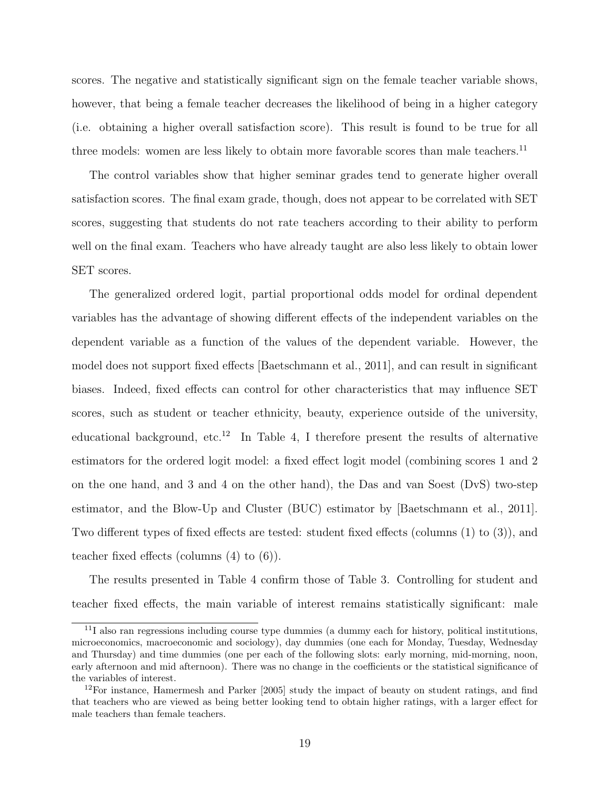scores. The negative and statistically significant sign on the female teacher variable shows, however, that being a female teacher decreases the likelihood of being in a higher category (i.e. obtaining a higher overall satisfaction score). This result is found to be true for all three models: women are less likely to obtain more favorable scores than male teachers.<sup>11</sup>

The control variables show that higher seminar grades tend to generate higher overall satisfaction scores. The final exam grade, though, does not appear to be correlated with SET scores, suggesting that students do not rate teachers according to their ability to perform well on the final exam. Teachers who have already taught are also less likely to obtain lower SET scores.

The generalized ordered logit, partial proportional odds model for ordinal dependent variables has the advantage of showing different effects of the independent variables on the dependent variable as a function of the values of the dependent variable. However, the model does not support fixed effects [Baetschmann et al., 2011], and can result in significant biases. Indeed, fixed effects can control for other characteristics that may influence SET scores, such as student or teacher ethnicity, beauty, experience outside of the university, educational background, etc.<sup>12</sup> In Table 4, I therefore present the results of alternative estimators for the ordered logit model: a fixed effect logit model (combining scores 1 and 2 on the one hand, and 3 and 4 on the other hand), the Das and van Soest (DvS) two-step estimator, and the Blow-Up and Cluster (BUC) estimator by [Baetschmann et al., 2011]. Two different types of fixed effects are tested: student fixed effects (columns (1) to (3)), and teacher fixed effects (columns (4) to (6)).

The results presented in Table 4 confirm those of Table 3. Controlling for student and teacher fixed effects, the main variable of interest remains statistically significant: male

 $11$ I also ran regressions including course type dummies (a dummy each for history, political institutions, microeconomics, macroeconomic and sociology), day dummies (one each for Monday, Tuesday, Wednesday and Thursday) and time dummies (one per each of the following slots: early morning, mid-morning, noon, early afternoon and mid afternoon). There was no change in the coefficients or the statistical significance of the variables of interest.

 $12$ For instance, Hamermesh and Parker [2005] study the impact of beauty on student ratings, and find that teachers who are viewed as being better looking tend to obtain higher ratings, with a larger effect for male teachers than female teachers.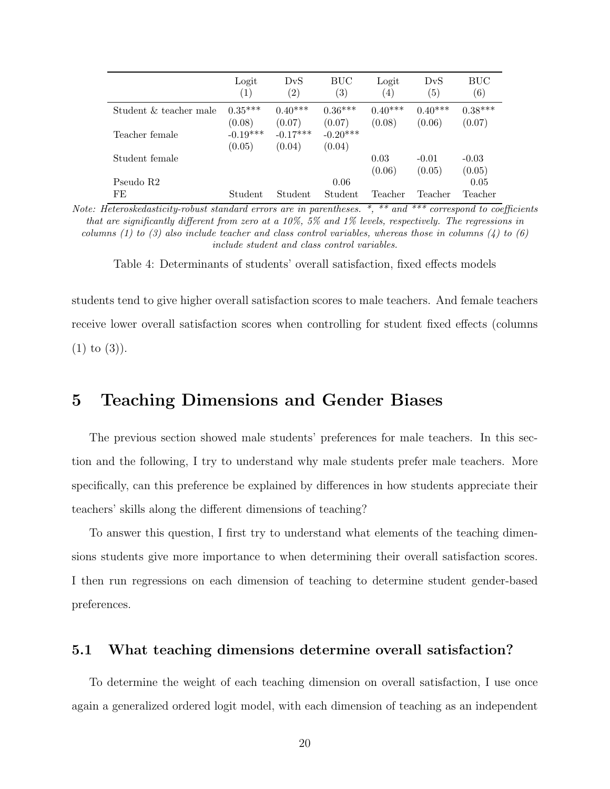|                        | Logit<br>$\left(1\right)$ | DvS<br>$\left( 2\right)$ | BUC<br>$\left(3\right)$ | Logit<br>$\left(4\right)$ | DvS<br>(5) | BUC<br>$\left( 6\right)$ |
|------------------------|---------------------------|--------------------------|-------------------------|---------------------------|------------|--------------------------|
| Student & teacher male | $0.35***$                 | $0.40***$                | $0.36***$               | $0.40***$                 | $0.40***$  | $0.38***$                |
|                        | (0.08)                    | (0.07)                   | (0.07)                  | (0.08)                    | (0.06)     | (0.07)                   |
| Teacher female         | $-0.19***$                | $-0.17***$               | $-0.20***$              |                           |            |                          |
|                        | (0.05)                    | (0.04)                   | (0.04)                  |                           |            |                          |
| Student female         |                           |                          |                         | 0.03                      | $-0.01$    | $-0.03$                  |
|                        |                           |                          |                         | (0.06)                    | (0.05)     | (0.05)                   |
| Pseudo R2              |                           |                          | 0.06                    |                           |            | 0.05                     |
| FE                     | Student                   | Student                  | Student                 | Teacher                   | Teacher    | Teacher                  |

Note: Heteroskedasticity-robust standard errors are in parentheses. \*, \*\* and \*\*\* correspond to coefficients that are significantly different from zero at a 10%, 5% and 1% levels, respectively. The regressions in columns (1) to (3) also include teacher and class control variables, whereas those in columns (4) to (6) include student and class control variables.

Table 4: Determinants of students' overall satisfaction, fixed effects models

students tend to give higher overall satisfaction scores to male teachers. And female teachers receive lower overall satisfaction scores when controlling for student fixed effects (columns  $(1)$  to  $(3)$ ).

### 5 Teaching Dimensions and Gender Biases

The previous section showed male students' preferences for male teachers. In this section and the following, I try to understand why male students prefer male teachers. More specifically, can this preference be explained by differences in how students appreciate their teachers' skills along the different dimensions of teaching?

To answer this question, I first try to understand what elements of the teaching dimensions students give more importance to when determining their overall satisfaction scores. I then run regressions on each dimension of teaching to determine student gender-based preferences.

#### 5.1 What teaching dimensions determine overall satisfaction?

To determine the weight of each teaching dimension on overall satisfaction, I use once again a generalized ordered logit model, with each dimension of teaching as an independent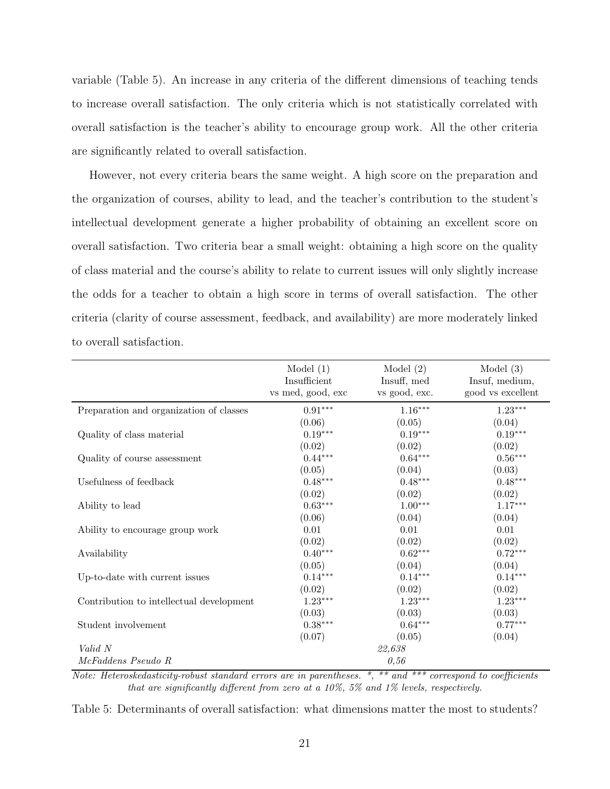variable (Table 5). An increase in any criteria of the different dimensions of teaching tends to increase overall satisfaction. The only criteria which is not statistically correlated with overall satisfaction is the teacher's ability to encourage group work. All the other criteria are significantly related to overall satisfaction.

However, not every criteria bears the same weight. A high score on the preparation and the organization of courses, ability to lead, and the teacher's contribution to the student's intellectual development generate a higher probability of obtaining an excellent score on overall satisfaction. Two criteria bear a small weight: obtaining a high score on the quality of class material and the course's ability to relate to current issues will only slightly increase the odds for a teacher to obtain a high score in terms of overall satisfaction. The other criteria (clarity of course assessment, feedback, and availability) are more moderately linked to overall satisfaction.

|                                          | Model $(1)$<br>Insufficient<br>vs med, good, exc | Model $(2)$<br>Insuff, med<br>vs good, exc. | Model $(3)$<br>Insuf, medium,<br>good vs excellent |
|------------------------------------------|--------------------------------------------------|---------------------------------------------|----------------------------------------------------|
|                                          |                                                  |                                             |                                                    |
| Preparation and organization of classes  | $0.91***$                                        | $1.16***$                                   | $1.23***$                                          |
|                                          | (0.06)                                           | (0.05)                                      | (0.04)                                             |
| Quality of class material                | $0.19***$                                        | $0.19***$                                   | $0.19***$                                          |
|                                          | (0.02)                                           | (0.02)                                      | (0.02)                                             |
| Quality of course assessment             | $0.44***$                                        | $0.64***$                                   | $0.56***$                                          |
|                                          | (0.05)                                           | (0.04)                                      | (0.03)                                             |
| Usefulness of feedback                   | $0.48***$                                        | $0.48***$                                   | $0.48***$                                          |
|                                          | (0.02)                                           | (0.02)                                      | (0.02)                                             |
| Ability to lead                          | $0.63***$                                        | $1.00***$                                   | $1.17***$                                          |
|                                          | (0.06)                                           | (0.04)                                      | (0.04)                                             |
| Ability to encourage group work          | 0.01                                             | 0.01                                        | 0.01                                               |
|                                          | (0.02)                                           | (0.02)                                      | (0.02)                                             |
| Availability                             | $0.40***$                                        | $0.62***$                                   | $0.72***$                                          |
|                                          | (0.05)                                           | (0.04)                                      | (0.04)                                             |
| Up-to-date with current issues           | $0.14***$                                        | $0.14***$                                   | $0.14***$                                          |
|                                          | (0.02)                                           | (0.02)                                      | (0.02)                                             |
| Contribution to intellectual development | $1.23***$                                        | $1.23***$                                   | $1.23***$                                          |
|                                          | (0.03)                                           | (0.03)                                      | (0.03)                                             |
| Student involvement                      | $0.38***$                                        | $0.64***$                                   | $0.77***$                                          |
|                                          | (0.07)                                           | (0.05)                                      | (0.04)                                             |
| Valid N                                  |                                                  | 22,638                                      |                                                    |
| McFaddens Pseudo R                       |                                                  | 0,56                                        |                                                    |

Note: Heteroskedasticity-robust standard errors are in parentheses. \*, \*\* and \*\*\* correspond to coefficients that are significantly different from zero at a 10%, 5% and 1% levels, respectively.

Table 5: Determinants of overall satisfaction: what dimensions matter the most to students?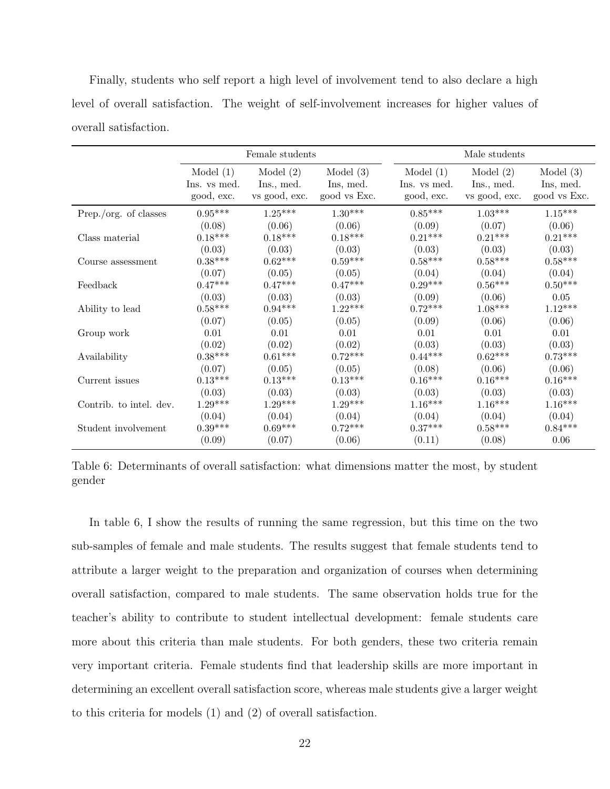Finally, students who self report a high level of involvement tend to also declare a high level of overall satisfaction. The weight of self-involvement increases for higher values of overall satisfaction.

|                         |              | Female students |              |              | Male students         |                       |
|-------------------------|--------------|-----------------|--------------|--------------|-----------------------|-----------------------|
|                         | Model $(1)$  | Model $(2)$     | Model $(3)$  | Model $(1)$  | Model $(2)$           | Model $(3)$           |
|                         | Ins. vs med. | Ins., med.      | Ins, med.    | Ins. vs med. | Ins., med.            | Ins, med.             |
|                         | good, exc.   | vs good, exc.   | good vs Exc. | good, exc.   | vs good, exc.         | good vs Exc.          |
| Prep./org. of classes   | $0.95***$    | $1.25***$       | $1.30***$    | $0.85***$    | $1.03***$             | $1.15***$             |
| Class material          | (0.08)       | (0.06)          | (0.06)       | (0.09)       | (0.07)                | (0.06)                |
|                         | $0.18***$    | $0.18***$       | $0.18***$    | $0.21***$    | $0.21***$             | $0.21***$             |
| Course assessment       | (0.03)       | (0.03)          | (0.03)       | (0.03)       | (0.03)                | (0.03)                |
|                         | $0.38***$    | $0.62***$       | $0.59***$    | $0.58***$    | $0.58***$             | $0.58***$             |
| Feedback                | (0.07)       | (0.05)          | (0.05)       | (0.04)       | (0.04)                | (0.04)                |
|                         | $0.47***$    | $0.47***$       | $0.47***$    | $0.29***$    | $0.56***$             | $0.50^{***}\,$        |
| Ability to lead         | (0.03)       | (0.03)          | (0.03)       | (0.09)       | (0.06)                | 0.05                  |
|                         | $0.58***$    | $0.94***$       | $1.22***$    | $0.72***$    | $1.08***$             | $1.12***$             |
| Group work              | (0.07)       | (0.05)          | (0.05)       | (0.09)       | (0.06)                | (0.06)                |
|                         | $0.01\,$     | 0.01            | 0.01         | 0.01         | 0.01                  | 0.01                  |
| Availability            | (0.02)       | (0.02)          | (0.02)       | (0.03)       | (0.03)                | (0.03)                |
|                         | $0.38***$    | $0.61***$       | $0.72***$    | $0.44***$    | $0.62***$             | $0.73***$             |
| Current issues          | (0.07)       | (0.05)          | (0.05)       | (0.08)       | (0.06)                | (0.06)                |
|                         | $0.13***$    | $0.13***$       | $0.13***$    | $0.16***$    | $0.16***$             | $0.16^{\ast\ast\ast}$ |
| Contrib. to intel. dev. | (0.03)       | (0.03)          | (0.03)       | (0.03)       | (0.03)                | (0.03)                |
|                         | $1.29***$    | $1.29***$       | $1.29***$    | $1.16***$    | $1.16^{\ast\ast\ast}$ | $1.16***$             |
| Student involvement     | (0.04)       | (0.04)          | (0.04)       | (0.04)       | (0.04)                | (0.04)                |
|                         | $0.39***$    | $0.69***$       | $0.72***$    | $0.37***$    | $0.58***$             | $0.84***$             |
|                         | (0.09)       | (0.07)          | (0.06)       | (0.11)       | (0.08)                | 0.06                  |

Table 6: Determinants of overall satisfaction: what dimensions matter the most, by student gender

In table 6, I show the results of running the same regression, but this time on the two sub-samples of female and male students. The results suggest that female students tend to attribute a larger weight to the preparation and organization of courses when determining overall satisfaction, compared to male students. The same observation holds true for the teacher's ability to contribute to student intellectual development: female students care more about this criteria than male students. For both genders, these two criteria remain very important criteria. Female students find that leadership skills are more important in determining an excellent overall satisfaction score, whereas male students give a larger weight to this criteria for models (1) and (2) of overall satisfaction.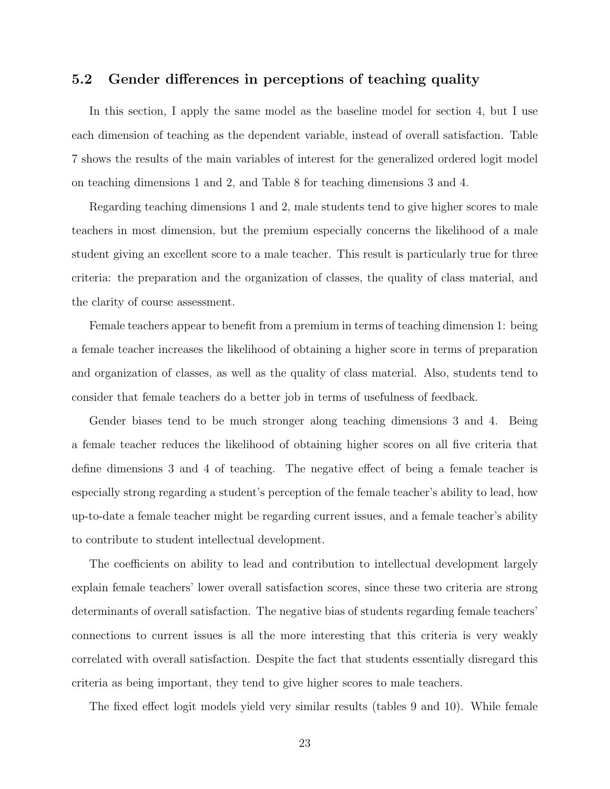#### 5.2 Gender differences in perceptions of teaching quality

In this section, I apply the same model as the baseline model for section 4, but I use each dimension of teaching as the dependent variable, instead of overall satisfaction. Table 7 shows the results of the main variables of interest for the generalized ordered logit model on teaching dimensions 1 and 2, and Table 8 for teaching dimensions 3 and 4.

Regarding teaching dimensions 1 and 2, male students tend to give higher scores to male teachers in most dimension, but the premium especially concerns the likelihood of a male student giving an excellent score to a male teacher. This result is particularly true for three criteria: the preparation and the organization of classes, the quality of class material, and the clarity of course assessment.

Female teachers appear to benefit from a premium in terms of teaching dimension 1: being a female teacher increases the likelihood of obtaining a higher score in terms of preparation and organization of classes, as well as the quality of class material. Also, students tend to consider that female teachers do a better job in terms of usefulness of feedback.

Gender biases tend to be much stronger along teaching dimensions 3 and 4. Being a female teacher reduces the likelihood of obtaining higher scores on all five criteria that define dimensions 3 and 4 of teaching. The negative effect of being a female teacher is especially strong regarding a student's perception of the female teacher's ability to lead, how up-to-date a female teacher might be regarding current issues, and a female teacher's ability to contribute to student intellectual development.

The coefficients on ability to lead and contribution to intellectual development largely explain female teachers' lower overall satisfaction scores, since these two criteria are strong determinants of overall satisfaction. The negative bias of students regarding female teachers' connections to current issues is all the more interesting that this criteria is very weakly correlated with overall satisfaction. Despite the fact that students essentially disregard this criteria as being important, they tend to give higher scores to male teachers.

The fixed effect logit models yield very similar results (tables 9 and 10). While female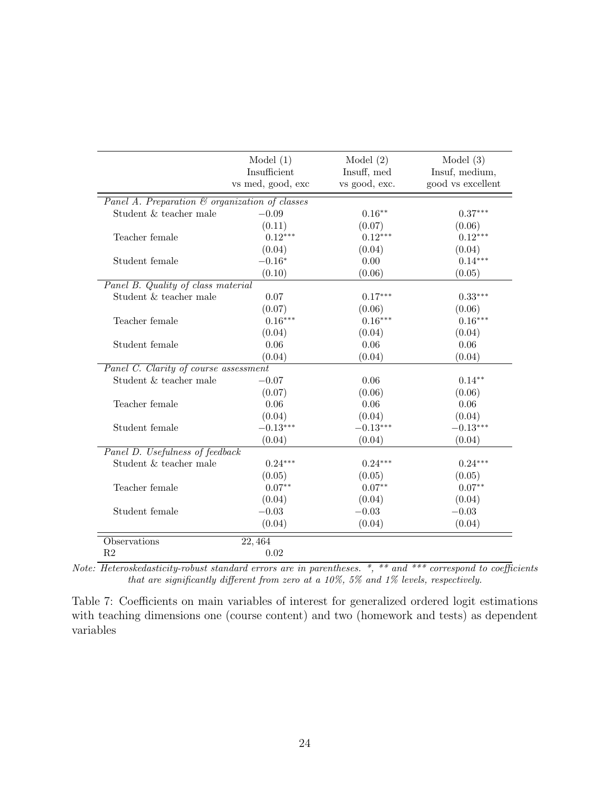|                                                | Model $(1)$<br>Insufficient | Model $(2)$<br>Insuff, med | Model $(3)$<br>Insuf, medium, |
|------------------------------------------------|-----------------------------|----------------------------|-------------------------------|
|                                                | vs med, good, exc           | vs good, exc.              | good vs excellent             |
| Panel A. Preparation & organization of classes |                             |                            |                               |
| Student & teacher male                         | $-0.09$                     | $0.16***$                  | $0.37***$                     |
|                                                | (0.11)                      | (0.07)                     | (0.06)                        |
| Teacher female                                 | $0.12***$                   | $0.12***$                  | $0.12***$                     |
|                                                | (0.04)                      | (0.04)                     | (0.04)                        |
| Student female                                 | $-0.16*$                    | 0.00                       | $0.14***$                     |
|                                                | (0.10)                      | (0.06)                     | (0.05)                        |
| Panel B. Quality of class material             |                             |                            |                               |
| Student & teacher male                         | 0.07                        | $0.17***$                  | $0.33***$                     |
|                                                | (0.07)                      | (0.06)                     | (0.06)                        |
| Teacher female                                 | $0.16***$                   | $0.16***$                  | $0.16***$                     |
|                                                | (0.04)                      | (0.04)                     | (0.04)                        |
| Student female                                 | 0.06                        | 0.06                       | 0.06                          |
|                                                | (0.04)                      | (0.04)                     | (0.04)                        |
| Panel C. Clarity of course assessment          |                             |                            |                               |
| Student & teacher male                         | $-0.07$                     | 0.06                       | $0.14***$                     |
|                                                | (0.07)                      | (0.06)                     | (0.06)                        |
| Teacher female                                 | 0.06                        | 0.06                       | 0.06                          |
|                                                | (0.04)                      | (0.04)                     | (0.04)                        |
| Student female                                 | $-0.13***$                  | $-0.13***$                 | $-0.13***$                    |
|                                                | (0.04)                      | (0.04)                     | (0.04)                        |
| Panel D. Usefulness of feedback                |                             |                            |                               |
| Student & teacher male                         | $0.24***$                   | $0.24***$                  | $0.24***$                     |
|                                                | (0.05)                      | (0.05)                     | (0.05)                        |
| Teacher female                                 | $0.07**$                    | $0.07**$                   | $0.07**$                      |
|                                                | (0.04)                      | (0.04)                     | (0.04)                        |
| Student female                                 | $-0.03$                     | $-0.03$                    | $-0.03$                       |
|                                                | (0.04)                      | (0.04)                     | (0.04)                        |
| Observations                                   | 22,464                      |                            |                               |
| R <sub>2</sub>                                 | 0.02                        |                            |                               |

Note: Heteroskedasticity-robust standard errors are in parentheses. \*, \*\* and \*\*\* correspond to coefficients that are significantly different from zero at a 10%, 5% and 1% levels, respectively.

Table 7: Coefficients on main variables of interest for generalized ordered logit estimations with teaching dimensions one (course content) and two (homework and tests) as dependent variables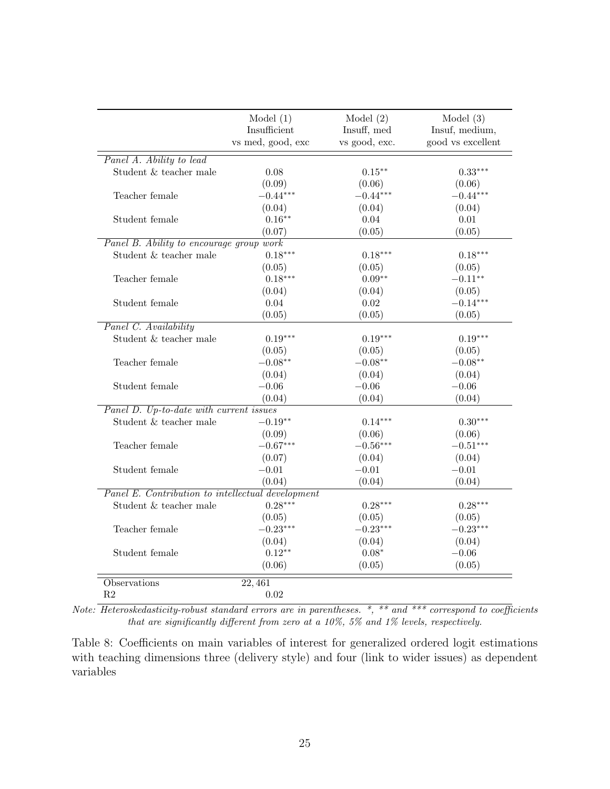|                                                   | Model $(1)$<br>Insufficient<br>vs med, good, exc | Model $(2)$<br>Insuff, med<br>vs good, exc. | Model $(3)$<br>Insuf, medium,<br>good vs excellent |
|---------------------------------------------------|--------------------------------------------------|---------------------------------------------|----------------------------------------------------|
| Panel A. Ability to lead                          |                                                  |                                             |                                                    |
| Student & teacher male                            | 0.08                                             | $0.15***$                                   | $0.33***$                                          |
|                                                   | (0.09)                                           | (0.06)                                      | (0.06)                                             |
| Teacher female                                    | $-0.44***$                                       | $-0.44***$                                  | $-0.44***$                                         |
|                                                   | (0.04)                                           | (0.04)                                      | (0.04)                                             |
| Student female                                    | $0.16***$                                        | 0.04                                        | 0.01                                               |
|                                                   | (0.07)                                           | (0.05)                                      | (0.05)                                             |
| Panel B. Ability to encourage group work          |                                                  |                                             |                                                    |
| Student & teacher male                            | $0.18***$                                        | $0.18***$                                   | $0.18***$                                          |
|                                                   | (0.05)                                           | (0.05)                                      | (0.05)                                             |
| Teacher female                                    | $0.18***$                                        | $0.09**$                                    | $-0.11**$                                          |
|                                                   | (0.04)                                           | (0.04)                                      | (0.05)                                             |
| Student female                                    | 0.04                                             | 0.02                                        | $-0.14***$                                         |
|                                                   | (0.05)                                           | (0.05)                                      | (0.05)                                             |
| Panel C. Availability                             |                                                  |                                             |                                                    |
| Student & teacher male                            | $0.19***$                                        | $0.19***$                                   | $0.19***$                                          |
|                                                   | (0.05)                                           | (0.05)                                      | (0.05)                                             |
| Teacher female                                    | $-0.08**$                                        | $-0.08**$                                   | $-0.08**$                                          |
|                                                   | (0.04)                                           | (0.04)                                      | (0.04)                                             |
| Student female                                    | $-0.06$                                          | $-0.06$                                     | $-0.06$                                            |
|                                                   | (0.04)                                           | (0.04)                                      | (0.04)                                             |
| Panel D. Up-to-date with current issues           |                                                  |                                             |                                                    |
| Student & teacher male                            | $-0.19**$                                        | $0.14***$                                   | $0.30***$                                          |
|                                                   | (0.09)                                           | (0.06)                                      | (0.06)                                             |
| Teacher female                                    | $-0.67***$                                       | $-0.56***$                                  | $-0.51***$                                         |
|                                                   | (0.07)                                           | (0.04)                                      | (0.04)                                             |
| Student female                                    | $-0.01$                                          | $-0.01$                                     | $-0.01$                                            |
|                                                   | (0.04)                                           | (0.04)                                      | (0.04)                                             |
| Panel E. Contribution to intellectual development |                                                  |                                             |                                                    |
| Student & teacher male                            | $0.28***$                                        | $0.28***$                                   | $0.28***$                                          |
|                                                   | (0.05)                                           | (0.05)                                      | (0.05)                                             |
| Teacher female                                    | $-0.23***$                                       | $-0.23***$                                  | $-0.23***$                                         |
|                                                   | (0.04)                                           | (0.04)                                      | (0.04)                                             |
| Student female                                    | $0.12**$                                         | $0.08*$                                     | $-0.06$                                            |
|                                                   | (0.06)                                           | (0.05)                                      | (0.05)                                             |
| Observations                                      | $\overline{22,461}$                              |                                             |                                                    |
| R <sub>2</sub>                                    | 0.02                                             |                                             |                                                    |

Note: Heteroskedasticity-robust standard errors are in parentheses. \*, \*\* and \*\*\* correspond to coefficients that are significantly different from zero at a 10%, 5% and 1% levels, respectively.

Table 8: Coefficients on main variables of interest for generalized ordered logit estimations with teaching dimensions three (delivery style) and four (link to wider issues) as dependent variables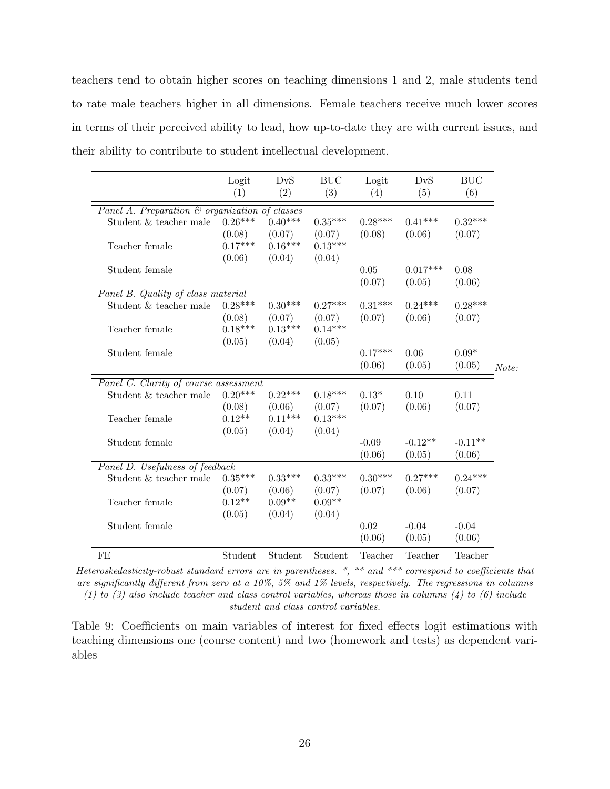teachers tend to obtain higher scores on teaching dimensions 1 and 2, male students tend to rate male teachers higher in all dimensions. Female teachers receive much lower scores in terms of their perceived ability to lead, how up-to-date they are with current issues, and their ability to contribute to student intellectual development.

|                                                | Logit<br>(1) | DvS<br>(2) | BUC<br>(3) | Logit<br>(4) | DvS<br>(5) | <b>BUC</b><br>(6) |       |
|------------------------------------------------|--------------|------------|------------|--------------|------------|-------------------|-------|
|                                                |              |            |            |              |            |                   |       |
| Panel A. Preparation & organization of classes |              |            |            |              |            |                   |       |
| Student & teacher male                         | $0.26***$    | $0.40***$  | $0.35***$  | $0.28***$    | $0.41***$  | $0.32***$         |       |
|                                                | (0.08)       | (0.07)     | (0.07)     | (0.08)       | (0.06)     | (0.07)            |       |
| Teacher female                                 | $0.17***$    | $0.16***$  | $0.13***$  |              |            |                   |       |
|                                                | (0.06)       | (0.04)     | (0.04)     |              |            |                   |       |
| Student female                                 |              |            |            | 0.05         | $0.017***$ | 0.08              |       |
|                                                |              |            |            | (0.07)       | (0.05)     | (0.06)            |       |
| Panel B. Quality of class material             |              |            |            |              |            |                   |       |
| Student & teacher male                         | $0.28***$    | $0.30***$  | $0.27***$  | $0.31***$    | $0.24***$  | $0.28***$         |       |
|                                                | (0.08)       | (0.07)     | (0.07)     | (0.07)       | (0.06)     | (0.07)            |       |
| Teacher female                                 | $0.18***$    | $0.13***$  | $0.14***$  |              |            |                   |       |
|                                                | (0.05)       | (0.04)     | (0.05)     |              |            |                   |       |
| Student female                                 |              |            |            | $0.17***$    | 0.06       | $0.09*$           |       |
|                                                |              |            |            | (0.06)       | (0.05)     | (0.05)            | Note: |
|                                                |              |            |            |              |            |                   |       |
| Panel C. Clarity of course assessment          | $0.20***$    | $0.22***$  |            |              |            |                   |       |
| Student & teacher male                         |              |            | $0.18***$  | $0.13*$      | 0.10       | 0.11              |       |
|                                                | (0.08)       | (0.06)     | (0.07)     | (0.07)       | (0.06)     | (0.07)            |       |
| Teacher female                                 | $0.12**$     | $0.11***$  | $0.13***$  |              |            |                   |       |
|                                                | (0.05)       | (0.04)     | (0.04)     |              |            |                   |       |
| Student female                                 |              |            |            | $-0.09$      | $-0.12**$  | $-0.11**$         |       |
|                                                |              |            |            | (0.06)       | (0.05)     | (0.06)            |       |
| Panel D. Usefulness of feedback                |              |            |            |              |            |                   |       |
| Student $\&$ teacher male                      | $0.35***$    | $0.33***$  | $0.33***$  | $0.30***$    | $0.27***$  | $0.24***$         |       |
|                                                | (0.07)       | (0.06)     | (0.07)     | (0.07)       | (0.06)     | (0.07)            |       |
| Teacher female                                 | $0.12**$     | $0.09**$   | $0.09**$   |              |            |                   |       |
|                                                | (0.05)       | (0.04)     | (0.04)     |              |            |                   |       |
| Student female                                 |              |            |            | 0.02         | $-0.04$    | $-0.04$           |       |
|                                                |              |            |            | (0.06)       | (0.05)     | (0.06)            |       |
| FE                                             | Student      | Student    | Student    | Teacher      | Teacher    | Teacher           |       |

Heteroskedasticity-robust standard errors are in parentheses.  $*,$   $**$  and  $***$  correspond to coefficients that are significantly different from zero at a 10%, 5% and 1% levels, respectively. The regressions in columns (1) to (3) also include teacher and class control variables, whereas those in columns (4) to (6) include student and class control variables.

Table 9: Coefficients on main variables of interest for fixed effects logit estimations with teaching dimensions one (course content) and two (homework and tests) as dependent variables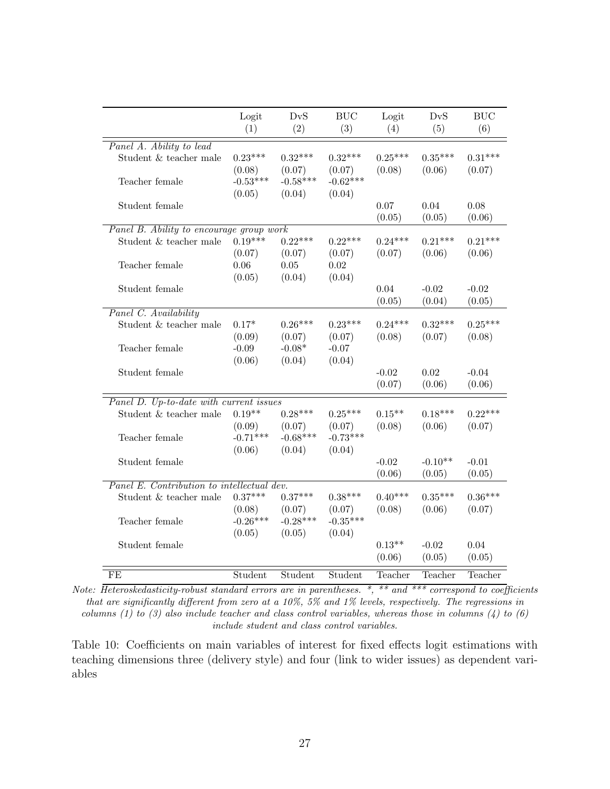|                                            | Logit<br>(1) | DvS<br>(2) | <b>BUC</b><br>(3) | Logit<br>(4) | DvS<br>(5) | BUC<br>(6) |
|--------------------------------------------|--------------|------------|-------------------|--------------|------------|------------|
| Panel A. Ability to lead                   |              |            |                   |              |            |            |
| Student & teacher male                     | $0.23***$    | $0.32***$  | $0.32***$         | $0.25***$    | $0.35***$  | $0.31***$  |
|                                            | (0.08)       | (0.07)     | (0.07)            | (0.08)       | (0.06)     | (0.07)     |
| Teacher female                             | $-0.53***$   | $-0.58***$ | $-0.62***$        |              |            |            |
|                                            | (0.05)       | (0.04)     | (0.04)            |              |            |            |
| Student female                             |              |            |                   | 0.07         | 0.04       | 0.08       |
|                                            |              |            |                   | (0.05)       | (0.05)     | (0.06)     |
| Panel B. Ability to encourage group work   |              |            |                   |              |            |            |
| Student & teacher male                     | $0.19***$    | $0.22***$  | $0.22***$         | $0.24***$    | $0.21***$  | $0.21***$  |
|                                            | (0.07)       | (0.07)     | (0.07)            | (0.07)       | (0.06)     | (0.06)     |
| Teacher female                             | 0.06         | 0.05       | 0.02              |              |            |            |
|                                            | (0.05)       | (0.04)     | (0.04)            |              |            |            |
| Student female                             |              |            |                   | 0.04         | $-0.02$    | $-0.02$    |
|                                            |              |            |                   | (0.05)       | (0.04)     | (0.05)     |
| Panel C. Availability                      |              |            |                   |              |            |            |
| Student & teacher male                     | $0.17*$      | $0.26***$  | $0.23***$         | $0.24***$    | $0.32***$  | $0.25***$  |
|                                            | (0.09)       | (0.07)     | (0.07)            | (0.08)       | (0.07)     | (0.08)     |
| Teacher female                             | $-0.09$      | $-0.08*$   | $-0.07$           |              |            |            |
|                                            | (0.06)       | (0.04)     | (0.04)            |              |            |            |
| Student female                             |              |            |                   | $-0.02$      | $0.02\,$   | $-0.04$    |
|                                            |              |            |                   | (0.07)       | (0.06)     | (0.06)     |
| Panel D. Up-to-date with current issues    |              |            |                   |              |            |            |
| Student & teacher male                     | $0.19**$     | $0.28***$  | $0.25***$         | $0.15**$     | $0.18***$  | $0.22***$  |
|                                            | (0.09)       | (0.07)     | (0.07)            | (0.08)       | (0.06)     | (0.07)     |
| Teacher female                             | $-0.71***$   | $-0.68***$ | $-0.73***$        |              |            |            |
|                                            | (0.06)       | (0.04)     | (0.04)            |              |            |            |
| Student female                             |              |            |                   | $-0.02$      | $-0.10**$  | $-0.01$    |
|                                            |              |            |                   | (0.06)       | (0.05)     | (0.05)     |
| Panel E. Contribution to intellectual dev. |              |            |                   |              |            |            |
| Student & teacher male                     | $0.37***$    | $0.37***$  | $0.38***$         | $0.40***$    | $0.35***$  | $0.36***$  |
|                                            | (0.08)       | (0.07)     | (0.07)            | (0.08)       | (0.06)     | (0.07)     |
| Teacher female                             | $-0.26***$   | $-0.28***$ | $-0.35***$        |              |            |            |
|                                            | (0.05)       | (0.05)     | (0.04)            |              |            |            |
| Student female                             |              |            |                   | $0.13**$     | $-0.02$    | 0.04       |
|                                            |              |            |                   | (0.06)       | (0.05)     | (0.05)     |
| $\overline{\text{FE}}$                     | Student      | Student    | Student           | Teacher      | Teacher    | Teacher    |

Note: Heteroskedasticity-robust standard errors are in parentheses. \*, \*\* and \*\*\* correspond to coefficients that are significantly different from zero at a 10%, 5% and 1% levels, respectively. The regressions in columns (1) to (3) also include teacher and class control variables, whereas those in columns (4) to (6) include student and class control variables.

Table 10: Coefficients on main variables of interest for fixed effects logit estimations with teaching dimensions three (delivery style) and four (link to wider issues) as dependent variables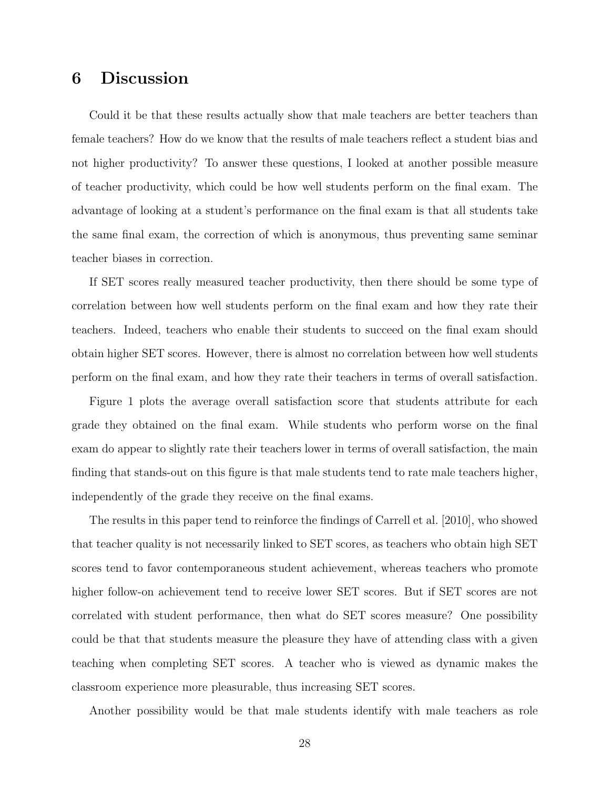## 6 Discussion

Could it be that these results actually show that male teachers are better teachers than female teachers? How do we know that the results of male teachers reflect a student bias and not higher productivity? To answer these questions, I looked at another possible measure of teacher productivity, which could be how well students perform on the final exam. The advantage of looking at a student's performance on the final exam is that all students take the same final exam, the correction of which is anonymous, thus preventing same seminar teacher biases in correction.

If SET scores really measured teacher productivity, then there should be some type of correlation between how well students perform on the final exam and how they rate their teachers. Indeed, teachers who enable their students to succeed on the final exam should obtain higher SET scores. However, there is almost no correlation between how well students perform on the final exam, and how they rate their teachers in terms of overall satisfaction.

Figure 1 plots the average overall satisfaction score that students attribute for each grade they obtained on the final exam. While students who perform worse on the final exam do appear to slightly rate their teachers lower in terms of overall satisfaction, the main finding that stands-out on this figure is that male students tend to rate male teachers higher, independently of the grade they receive on the final exams.

The results in this paper tend to reinforce the findings of Carrell et al. [2010], who showed that teacher quality is not necessarily linked to SET scores, as teachers who obtain high SET scores tend to favor contemporaneous student achievement, whereas teachers who promote higher follow-on achievement tend to receive lower SET scores. But if SET scores are not correlated with student performance, then what do SET scores measure? One possibility could be that that students measure the pleasure they have of attending class with a given teaching when completing SET scores. A teacher who is viewed as dynamic makes the classroom experience more pleasurable, thus increasing SET scores.

Another possibility would be that male students identify with male teachers as role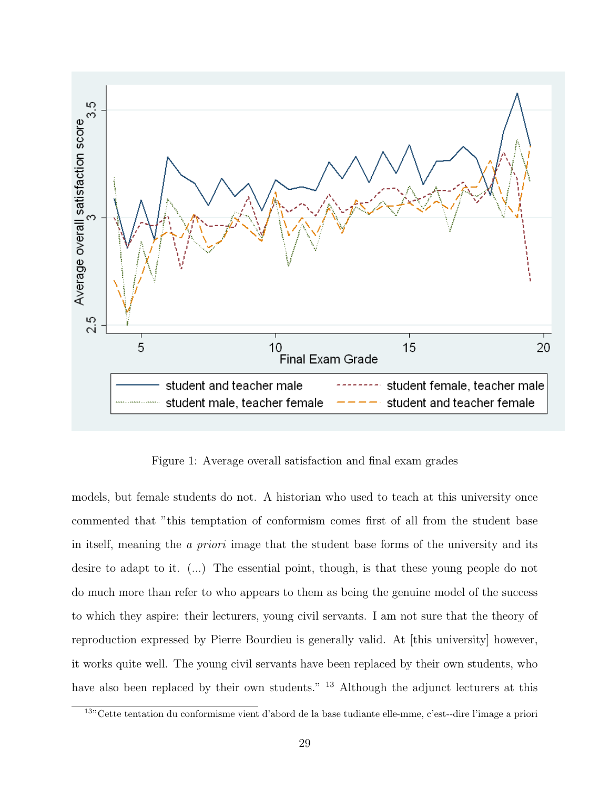

Figure 1: Average overall satisfaction and final exam grades

models, but female students do not. A historian who used to teach at this university once commented that "this temptation of conformism comes first of all from the student base in itself, meaning the a priori image that the student base forms of the university and its desire to adapt to it. (...) The essential point, though, is that these young people do not do much more than refer to who appears to them as being the genuine model of the success to which they aspire: their lecturers, young civil servants. I am not sure that the theory of reproduction expressed by Pierre Bourdieu is generally valid. At [this university] however, it works quite well. The young civil servants have been replaced by their own students, who have also been replaced by their own students." <sup>13</sup> Although the adjunct lecturers at this

<sup>13</sup>"Cette tentation du conformisme vient d'abord de la base tudiante elle-mme, c'est--dire l'image a priori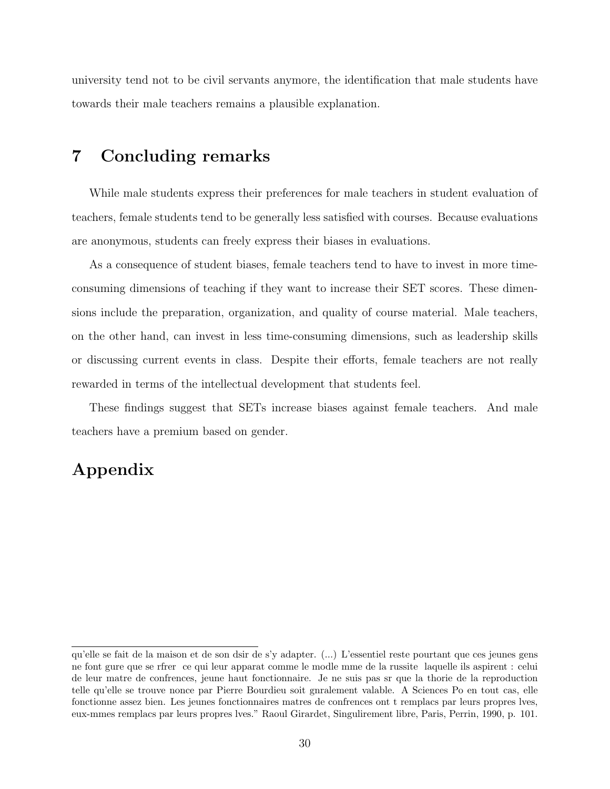university tend not to be civil servants anymore, the identification that male students have towards their male teachers remains a plausible explanation.

## 7 Concluding remarks

While male students express their preferences for male teachers in student evaluation of teachers, female students tend to be generally less satisfied with courses. Because evaluations are anonymous, students can freely express their biases in evaluations.

As a consequence of student biases, female teachers tend to have to invest in more timeconsuming dimensions of teaching if they want to increase their SET scores. These dimensions include the preparation, organization, and quality of course material. Male teachers, on the other hand, can invest in less time-consuming dimensions, such as leadership skills or discussing current events in class. Despite their efforts, female teachers are not really rewarded in terms of the intellectual development that students feel.

These findings suggest that SETs increase biases against female teachers. And male teachers have a premium based on gender.

## Appendix

qu'elle se fait de la maison et de son dsir de s'y adapter. (...) L'essentiel reste pourtant que ces jeunes gens ne font gure que se rfrer ce qui leur apparat comme le modle mme de la russite laquelle ils aspirent : celui de leur matre de confrences, jeune haut fonctionnaire. Je ne suis pas sr que la thorie de la reproduction telle qu'elle se trouve nonce par Pierre Bourdieu soit gnralement valable. A Sciences Po en tout cas, elle fonctionne assez bien. Les jeunes fonctionnaires matres de confrences ont t remplacs par leurs propres lves, eux-mmes remplacs par leurs propres lves." Raoul Girardet, Singulirement libre, Paris, Perrin, 1990, p. 101.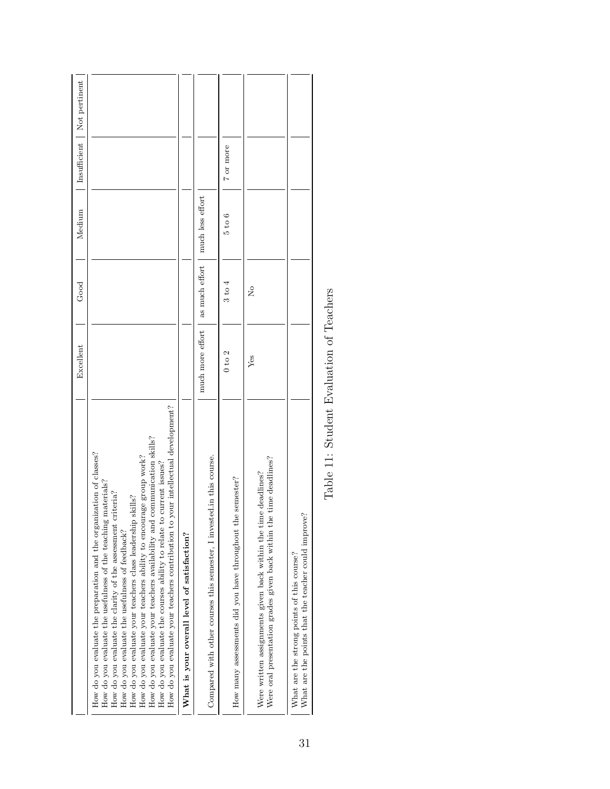|                                                                                                                                                                                                                                                                                                                                                                                                                                                                                                                                                                                                                                              | Excellent        | Good                 | Medium                            |           | Insufficient   Not pertinent |
|----------------------------------------------------------------------------------------------------------------------------------------------------------------------------------------------------------------------------------------------------------------------------------------------------------------------------------------------------------------------------------------------------------------------------------------------------------------------------------------------------------------------------------------------------------------------------------------------------------------------------------------------|------------------|----------------------|-----------------------------------|-----------|------------------------------|
| your intellectual development?<br>How do you evaluate your teachers availability and communication skills?<br>How do you evaluate the preparation and the organization of classes?<br>How do you evaluate your teachers ability to encourage group work?<br>How do you evaluate the courses ability to relate to current issues?<br>How do you evaluate the usefulness of the teaching materials?<br>criteria?<br>skills?<br>How do you evaluate your teachers class leadership<br>How do you evaluate your teachers contribution to<br>How do you evaluate the clarity of the assessment<br>How do you evaluate the usefulness of feedback? |                  |                      |                                   |           |                              |
| What is your overall level of satisfaction?                                                                                                                                                                                                                                                                                                                                                                                                                                                                                                                                                                                                  |                  |                      |                                   |           |                              |
| Compared with other courses this semester, I invested in this course.                                                                                                                                                                                                                                                                                                                                                                                                                                                                                                                                                                        | much more effort |                      | as much effort   much less effort |           |                              |
| How many assessments did you have throughout the semester?                                                                                                                                                                                                                                                                                                                                                                                                                                                                                                                                                                                   | $0$ to $2$       | 3 to 4               | $5$ to $6$                        | 7 or more |                              |
| Were oral presentation grades given back within the time deadlines?<br>Were written assignments given back within the time deadlines?                                                                                                                                                                                                                                                                                                                                                                                                                                                                                                        | $Y$ es           | $\tilde{\mathsf{z}}$ |                                   |           |                              |
| What are the points that the teacher could improve?<br>What are the strong points of this course?                                                                                                                                                                                                                                                                                                                                                                                                                                                                                                                                            |                  |                      |                                   |           |                              |

Table 11: Student Evaluation of Teachers Table 11: Student Evaluation of Teachers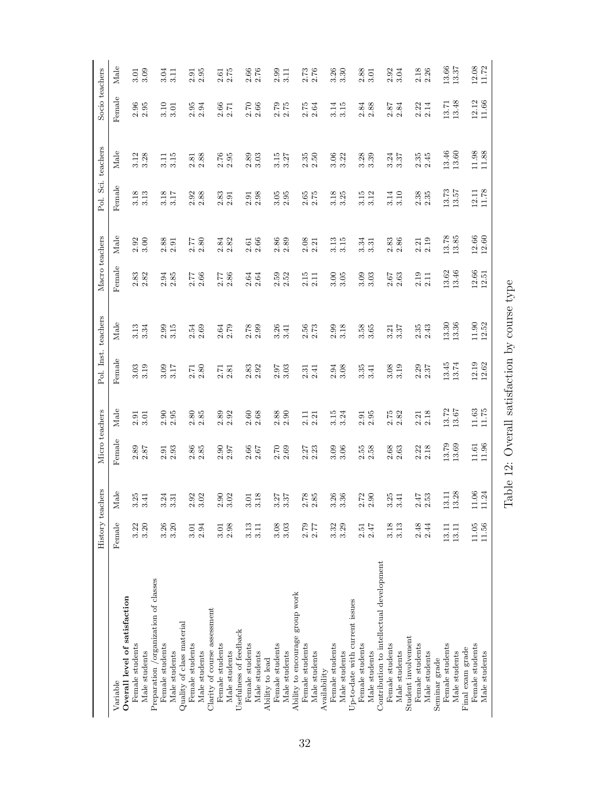|                                                  | History teach | ners                                                            | Micro teachers        |                                             | Pol. Inst. teachers |                                             | Macro teachers                              |                    | Pol. Sci. teachers                          |                                               | Socio teachers                              |                                             |
|--------------------------------------------------|---------------|-----------------------------------------------------------------|-----------------------|---------------------------------------------|---------------------|---------------------------------------------|---------------------------------------------|--------------------|---------------------------------------------|-----------------------------------------------|---------------------------------------------|---------------------------------------------|
| Variable                                         | Female        | Male                                                            | Female                | Male                                        | Female              | Male                                        | Female                                      | Male               | Female                                      | Male                                          | Female                                      | Male                                        |
| Overall level of satisfaction<br>Female students | 3.22          |                                                                 |                       | 2.91                                        | 3.03                | 3.13                                        |                                             | 2.92               |                                             | 3.12                                          |                                             | 3.01                                        |
| Male students                                    | 3.20          | $3.\overline{41}$<br>$3.\overline{41}$                          | $2.89\phantom{0}2.87$ | 3.01                                        | 3.19                | 3.34                                        | $\begin{array}{c} 2.83 \\ 2.82 \end{array}$ | 3.00               | $3.18$<br>$3.13$                            | 3.28                                          | $2.96$<br>$2.95$                            | 3.09                                        |
| Preparation /organization of classes             |               |                                                                 |                       |                                             |                     |                                             |                                             |                    |                                             |                                               |                                             |                                             |
| Female students                                  | 3.26          | $\frac{54}{25}$<br>က် က                                         | $2.91$<br>$2.93$      | $2.95$<br>$2.95$                            | 3.09                | $2.99$<br>$3.15$                            | $\!2.94\!$                                  | 2.88               | 3.18                                        | 3.11                                          | 3.10                                        | 3.04                                        |
| Male students                                    | 3.20          |                                                                 |                       |                                             | 3.17                |                                             | 2.85                                        | 2.91               | 3.17                                        | 3.15                                          | 3.01                                        | 3.11                                        |
| Quality of class material                        |               |                                                                 |                       |                                             |                     |                                             |                                             |                    |                                             |                                               |                                             |                                             |
| Female students                                  | 3.01          | $\frac{3}{2}$<br>$\sim$ $\sim$                                  | 2.86                  | 2.80                                        | 2.71                | 2.54                                        | 2.77                                        | 2.77               | 2.92                                        | 2.81                                          | 2.95                                        | 2.91                                        |
| Male students                                    | 2.94          |                                                                 | 2.85                  | 2.85                                        | 2.80                | 2.69                                        | 2.66                                        | 2.80               | 2.88                                        | 2.88                                          | 2.94                                        | 2.95                                        |
| Clarity of course assessment                     |               |                                                                 |                       |                                             |                     |                                             |                                             |                    |                                             |                                               |                                             |                                             |
| Female students                                  | $3.01\,$      | $\begin{array}{c} 2.90 \\ 3.02 \end{array}$                     |                       | $2.89$<br>$2.92$                            | 2.71                | $2.64$<br>$2.79$                            | 2.77                                        | $\!2.84\!$         | $2.83$<br>$2.91$                            | $2.76$<br>$2.95$                              | $\begin{array}{c} 2.66 \\ 2.71 \end{array}$ | $2.61$ $2.75$                               |
| Male students                                    | 2.98          |                                                                 | $2.90$ $2.97$         |                                             | 2.81                |                                             | 2.86                                        | 2.82               |                                             |                                               |                                             |                                             |
| Usefulness of feedback                           |               |                                                                 |                       |                                             |                     |                                             |                                             |                    |                                             |                                               |                                             |                                             |
| Female students                                  | 3.13          |                                                                 | 2.66                  | 2.60                                        | 2.83                |                                             | 2.64                                        | 2.61               | 2.91                                        | 2.89                                          | 2.70                                        | $2.66$                                      |
| Male students                                    | 3.11          | $\overline{.18}$<br>$\begin{array}{c} 3.01 \\ 3.18 \end{array}$ | 2.67                  | 2.68                                        | 2.92                | $2.78$<br>$2.99$                            | 2.64                                        | 2.66               | 2.98                                        | 3.03                                          | 2.66                                        | 2.76                                        |
| Ability to lead                                  |               |                                                                 |                       |                                             |                     |                                             |                                             |                    |                                             |                                               |                                             |                                             |
| Female students                                  | 3.08          |                                                                 | 2.70                  | $2.88$<br>$2.90$                            | 2.97                | $3.41$<br>$3.41$                            | 2.59                                        | 2.86               | 3.05                                        | $3.15$ $3.27$                                 | $2.79$<br>$2.75$                            | $2.99$<br>$3.11$                            |
| Male students                                    | 3.03          | $3.37$<br>$3.37$                                                | 2.69                  |                                             | 3.03                |                                             | 2.52                                        | 2.89               | 2.95                                        |                                               |                                             |                                             |
| Ability to encourage group work                  |               |                                                                 |                       |                                             |                     |                                             |                                             |                    |                                             |                                               |                                             |                                             |
| Female students                                  | 2.79          | $\begin{array}{c} 2.78 \\ 2.85 \end{array}$                     | $2.27$<br>$2.23$      | 2.11                                        | 2.31                | $\begin{array}{c} 2.56 \\ 2.73 \end{array}$ | 2.15                                        | 2.08               | $2.65\atop 2.75$                            | $2.35\phantom{}$                              | $2.75$<br>$2.64$                            | $\begin{array}{c} 2.73 \\ 2.76 \end{array}$ |
| Male students                                    | 2.77          |                                                                 |                       | 2.21                                        | 2.41                |                                             | 2.11                                        | 2.21               |                                             |                                               |                                             |                                             |
| Availability                                     |               |                                                                 |                       |                                             |                     |                                             |                                             |                    |                                             |                                               |                                             |                                             |
| Female students                                  | 3.32          |                                                                 | 3.09                  | 3.15                                        | 2.94                | 2.99                                        | 3.00                                        | 3.13               | 3.18                                        | 3.06                                          | 3.14                                        | 3.26                                        |
| Male students                                    | 3.29          | $3.\overline{3}6$<br>$3.\overline{3}6$                          | 3.06                  | 3.24                                        | 3.08                | 3.18                                        | 3.05                                        | 3.15               | 3.25                                        | 3.22                                          | 3.15                                        | 3.30                                        |
| Up-to-date with current issues                   |               |                                                                 |                       |                                             |                     |                                             |                                             |                    |                                             |                                               |                                             |                                             |
| Female students                                  | 2.51          | $\frac{2}{5}$<br>$\alpha$ $\alpha$                              | $2.58\phantom{0}$     | 2.91                                        | 3.35                | $3.\overline{5}8$ $3.\overline{6}5$         | 3.09                                        | 3.34               | 3.15                                        | 3.28                                          |                                             | $2.88$<br>$3.01$                            |
| Male students                                    | 2.47          |                                                                 |                       | 2.95                                        | 3.41                |                                             | 3.03                                        | 3.31               | 3.12                                        | 3.39                                          | $\begin{array}{c} 2.84 \\ 2.88 \end{array}$ |                                             |
| Contribution to intellectual development         |               |                                                                 |                       |                                             |                     |                                             |                                             |                    |                                             |                                               |                                             |                                             |
| Female students                                  | 3.18          | 25<br>က် က                                                      | 2.68                  | 2.75                                        | 3.08                | 3.21                                        | 2.67                                        | 2.83               | 3.14                                        | 3.24                                          | 2.87                                        | 2.92                                        |
| Male students                                    | 3.13          | $\overline{4}$                                                  | 2.63                  | 2.82                                        | 3.19                | 3.37                                        | 2.63                                        | 2.86               | 3.10                                        | 3.37                                          | 2.84                                        | 3.04                                        |
| Student involvement                              |               |                                                                 |                       |                                             |                     |                                             |                                             |                    |                                             |                                               |                                             |                                             |
| Female students                                  | 2.48          | $2.47\phantom{0}2.53$                                           | $2.22$<br>$2.18$      | $\begin{array}{c} 2.21 \\ 2.18 \end{array}$ | $2.29$<br>$2.37$    | $2.35\,$                                    | 2.19                                        | $2.21$<br>$2.19$   | $\begin{array}{c} 2.38 \\ 2.35 \end{array}$ | $2.35$ $2.45$                                 | $2.22$<br>$2.14$                            | $2.18$<br>$2.26$                            |
| Male students                                    | 2.44          |                                                                 |                       |                                             |                     | 2.43                                        | 2.11                                        |                    |                                             |                                               |                                             |                                             |
| Seminar grade                                    |               |                                                                 |                       |                                             |                     |                                             |                                             |                    |                                             |                                               |                                             |                                             |
| Female students                                  | 13.11         | 13.11                                                           | 13.79<br>13.69        | 13.72                                       | 13.45<br>13.74      | 13.30<br>13.36                              | 13.62                                       | 13.78<br>13.85     | $13.73$<br>$13.57$                          | $13.46$<br>$13.60$                            | 13.71                                       | $13.66$<br>$13.37$                          |
| Male students                                    | 13.11         | 13.28                                                           |                       | 13.67                                       |                     |                                             | 13.46                                       |                    |                                             |                                               | 13.48                                       |                                             |
| Final exam grade                                 |               |                                                                 |                       |                                             |                     |                                             |                                             |                    |                                             |                                               |                                             |                                             |
| Female students                                  | $11.05\,$     | 06<br>Ξ                                                         | $\frac{11.61}{11.96}$ | $11.63$<br>$11.75$                          | $12.19$<br>$12.62$  | $11.90$<br>$12.52$                          | $12.56$<br>$12.51$                          | $12.66$<br>$12.60$ | $12.11$<br>$11.78$                          | $\begin{array}{c} 11.98 \\ 11.88 \end{array}$ | $12.12$<br>$11.66$                          | $12.08$<br>$11.72$                          |
| Male students                                    | 11.56         | 24<br>Ħ                                                         |                       |                                             |                     |                                             |                                             |                    |                                             |                                               |                                             |                                             |
|                                                  |               |                                                                 |                       |                                             |                     |                                             |                                             |                    |                                             |                                               |                                             |                                             |

Table 12: Overall satisfaction by course type  $% \left( \beta ,\gamma \right)$ Table 12: Overall satisfaction by course type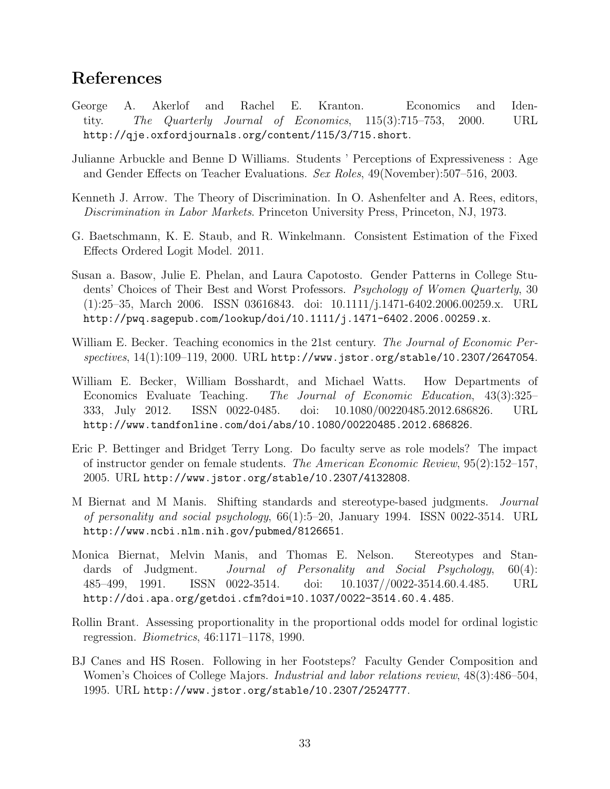## References

- George A. Akerlof and Rachel E. Kranton. Economics and Identity. The Quarterly Journal of Economics, 115(3):715–753, 2000. URL http://qje.oxfordjournals.org/content/115/3/715.short.
- Julianne Arbuckle and Benne D Williams. Students ' Perceptions of Expressiveness : Age and Gender Effects on Teacher Evaluations. Sex Roles, 49(November):507–516, 2003.
- Kenneth J. Arrow. The Theory of Discrimination. In O. Ashenfelter and A. Rees, editors, Discrimination in Labor Markets. Princeton University Press, Princeton, NJ, 1973.
- G. Baetschmann, K. E. Staub, and R. Winkelmann. Consistent Estimation of the Fixed Effects Ordered Logit Model. 2011.
- Susan a. Basow, Julie E. Phelan, and Laura Capotosto. Gender Patterns in College Students' Choices of Their Best and Worst Professors. Psychology of Women Quarterly, 30 (1):25–35, March 2006. ISSN 03616843. doi: 10.1111/j.1471-6402.2006.00259.x. URL http://pwq.sagepub.com/lookup/doi/10.1111/j.1471-6402.2006.00259.x.
- William E. Becker. Teaching economics in the 21st century. The Journal of Economic Perspectives, 14(1):109–119, 2000. URL http://www.jstor.org/stable/10.2307/2647054.
- William E. Becker, William Bosshardt, and Michael Watts. How Departments of Economics Evaluate Teaching. The Journal of Economic Education, 43(3):325– 333, July 2012. ISSN 0022-0485. doi: 10.1080/00220485.2012.686826. URL http://www.tandfonline.com/doi/abs/10.1080/00220485.2012.686826.
- Eric P. Bettinger and Bridget Terry Long. Do faculty serve as role models? The impact of instructor gender on female students. The American Economic Review, 95(2):152–157, 2005. URL http://www.jstor.org/stable/10.2307/4132808.
- M Biernat and M Manis. Shifting standards and stereotype-based judgments. Journal of personality and social psychology,  $66(1):5-20$ , January 1994. ISSN 0022-3514. URL http://www.ncbi.nlm.nih.gov/pubmed/8126651.
- Monica Biernat, Melvin Manis, and Thomas E. Nelson. Stereotypes and Standards of Judgment. *Journal of Personality and Social Psychology*, 60(4): 485–499, 1991. ISSN 0022-3514. doi: 10.1037//0022-3514.60.4.485. URL http://doi.apa.org/getdoi.cfm?doi=10.1037/0022-3514.60.4.485.
- Rollin Brant. Assessing proportionality in the proportional odds model for ordinal logistic regression. Biometrics, 46:1171–1178, 1990.
- BJ Canes and HS Rosen. Following in her Footsteps? Faculty Gender Composition and Women's Choices of College Majors. *Industrial and labor relations review*,  $48(3):486-504$ , 1995. URL http://www.jstor.org/stable/10.2307/2524777.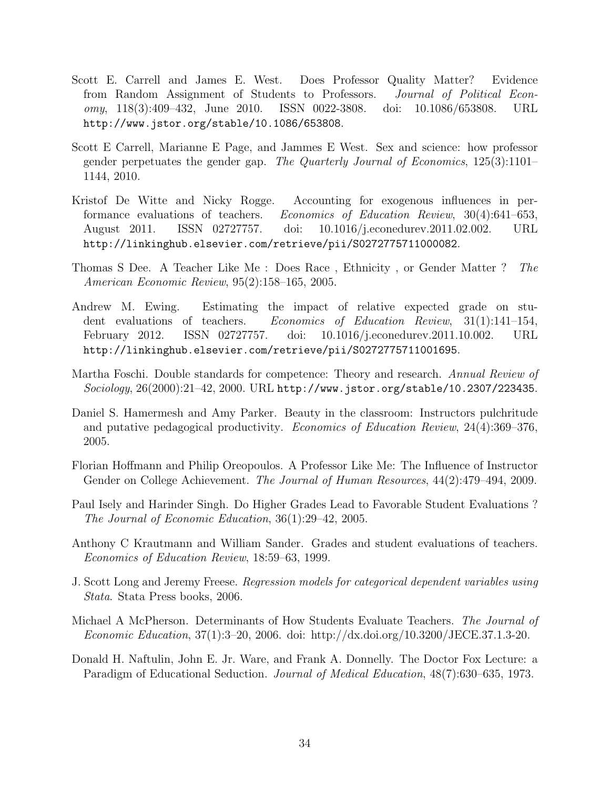- Scott E. Carrell and James E. West. Does Professor Quality Matter? Evidence from Random Assignment of Students to Professors. Journal of Political Economy, 118(3):409–432, June 2010. ISSN 0022-3808. doi: 10.1086/653808. URL http://www.jstor.org/stable/10.1086/653808.
- Scott E Carrell, Marianne E Page, and Jammes E West. Sex and science: how professor gender perpetuates the gender gap. The Quarterly Journal of Economics, 125(3):1101– 1144, 2010.
- Kristof De Witte and Nicky Rogge. Accounting for exogenous influences in performance evaluations of teachers. Economics of Education Review, 30(4):641–653, August 2011. ISSN 02727757. doi: 10.1016/j.econedurev.2011.02.002. URL http://linkinghub.elsevier.com/retrieve/pii/S0272775711000082.
- Thomas S Dee. A Teacher Like Me : Does Race , Ethnicity , or Gender Matter ? The American Economic Review, 95(2):158–165, 2005.
- Andrew M. Ewing. Estimating the impact of relative expected grade on student evaluations of teachers. Economics of Education Review, 31(1):141–154, February 2012. ISSN 02727757. doi: 10.1016/j.econedurev.2011.10.002. URL http://linkinghub.elsevier.com/retrieve/pii/S0272775711001695.
- Martha Foschi. Double standards for competence: Theory and research. Annual Review of Sociology, 26(2000):21–42, 2000. URL http://www.jstor.org/stable/10.2307/223435.
- Daniel S. Hamermesh and Amy Parker. Beauty in the classroom: Instructors pulchritude and putative pedagogical productivity. Economics of Education Review, 24(4):369–376, 2005.
- Florian Hoffmann and Philip Oreopoulos. A Professor Like Me: The Influence of Instructor Gender on College Achievement. The Journal of Human Resources, 44(2):479–494, 2009.
- Paul Isely and Harinder Singh. Do Higher Grades Lead to Favorable Student Evaluations ? The Journal of Economic Education, 36(1):29–42, 2005.
- Anthony C Krautmann and William Sander. Grades and student evaluations of teachers. Economics of Education Review, 18:59–63, 1999.
- J. Scott Long and Jeremy Freese. Regression models for categorical dependent variables using Stata. Stata Press books, 2006.
- Michael A McPherson. Determinants of How Students Evaluate Teachers. The Journal of Economic Education, 37(1):3–20, 2006. doi: http://dx.doi.org/10.3200/JECE.37.1.3-20.
- Donald H. Naftulin, John E. Jr. Ware, and Frank A. Donnelly. The Doctor Fox Lecture: a Paradigm of Educational Seduction. Journal of Medical Education, 48(7):630–635, 1973.